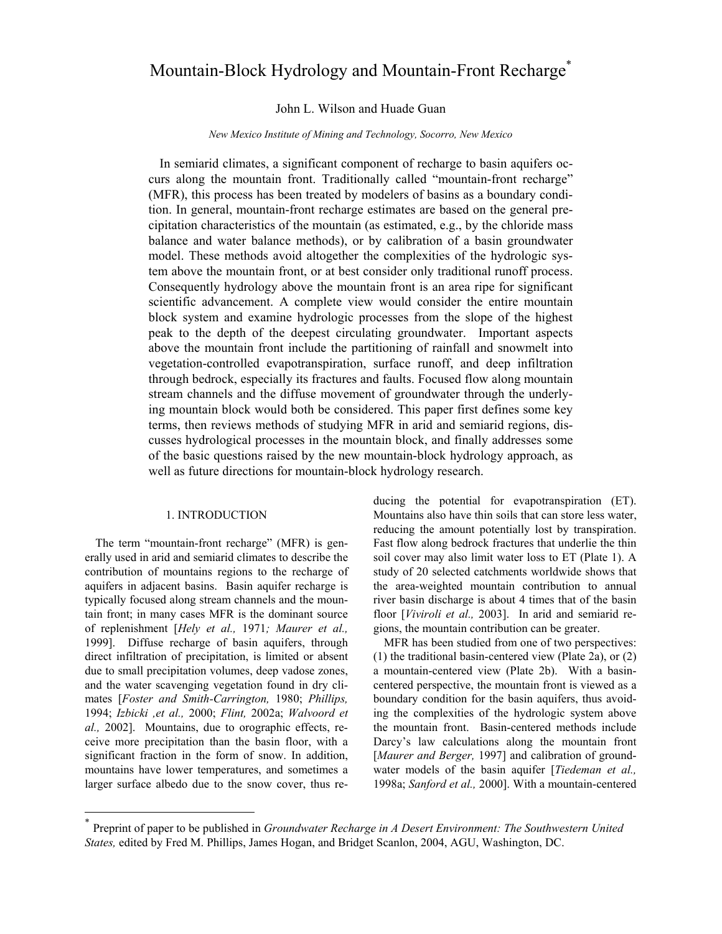# Mountain-Block Hydrology and Mountain-Front Recharge<sup>\*</sup>

## John L. Wilson and Huade Guan

#### *New Mexico Institute of Mining and Technology, Socorro, New Mexico*

In semiarid climates, a significant component of recharge to basin aquifers occurs along the mountain front. Traditionally called "mountain-front recharge" (MFR), this process has been treated by modelers of basins as a boundary condition. In general, mountain-front recharge estimates are based on the general precipitation characteristics of the mountain (as estimated, e.g., by the chloride mass balance and water balance methods), or by calibration of a basin groundwater model. These methods avoid altogether the complexities of the hydrologic system above the mountain front, or at best consider only traditional runoff process. Consequently hydrology above the mountain front is an area ripe for significant scientific advancement. A complete view would consider the entire mountain block system and examine hydrologic processes from the slope of the highest peak to the depth of the deepest circulating groundwater. Important aspects above the mountain front include the partitioning of rainfall and snowmelt into vegetation-controlled evapotranspiration, surface runoff, and deep infiltration through bedrock, especially its fractures and faults. Focused flow along mountain stream channels and the diffuse movement of groundwater through the underlying mountain block would both be considered. This paper first defines some key terms, then reviews methods of studying MFR in arid and semiarid regions, discusses hydrological processes in the mountain block, and finally addresses some of the basic questions raised by the new mountain-block hydrology approach, as well as future directions for mountain-block hydrology research.

## 1. INTRODUCTION

The term "mountain-front recharge" (MFR) is generally used in arid and semiarid climates to describe the contribution of mountains regions to the recharge of aquifers in adjacent basins. Basin aquifer recharge is typically focused along stream channels and the mountain front; in many cases MFR is the dominant source of replenishment [*Hely et al.,* 1971*; Maurer et al.,*  1999]. Diffuse recharge of basin aquifers, through direct infiltration of precipitation, is limited or absent due to small precipitation volumes, deep vadose zones, and the water scavenging vegetation found in dry climates [*Foster and Smith-Carrington,* 1980; *Phillips,*  1994; *Izbicki ,et al.,* 2000; *Flint,* 2002a; *Walvoord et al.,* 2002]. Mountains, due to orographic effects, receive more precipitation than the basin floor, with a significant fraction in the form of snow. In addition, mountains have lower temperatures, and sometimes a larger surface albedo due to the snow cover, thus re-

 $\overline{a}$ 

ducing the potential for evapotranspiration (ET). Mountains also have thin soils that can store less water, reducing the amount potentially lost by transpiration. Fast flow along bedrock fractures that underlie the thin soil cover may also limit water loss to ET (Plate 1). A study of 20 selected catchments worldwide shows that the area-weighted mountain contribution to annual river basin discharge is about 4 times that of the basin floor [*Viviroli et al.,* 2003]. In arid and semiarid regions, the mountain contribution can be greater.

MFR has been studied from one of two perspectives: (1) the traditional basin-centered view (Plate 2a), or (2) a mountain-centered view (Plate 2b). With a basincentered perspective, the mountain front is viewed as a boundary condition for the basin aquifers, thus avoiding the complexities of the hydrologic system above the mountain front. Basin-centered methods include Darcy's law calculations along the mountain front [*Maurer and Berger, 1997*] and calibration of groundwater models of the basin aquifer [*Tiedeman et al.,*  1998a; *Sanford et al.,* 2000]. With a mountain-centered

<sup>\*</sup> Preprint of paper to be published in *Groundwater Recharge in A Desert Environment: The Southwestern United States,* edited by Fred M. Phillips, James Hogan, and Bridget Scanlon, 2004, AGU, Washington, DC.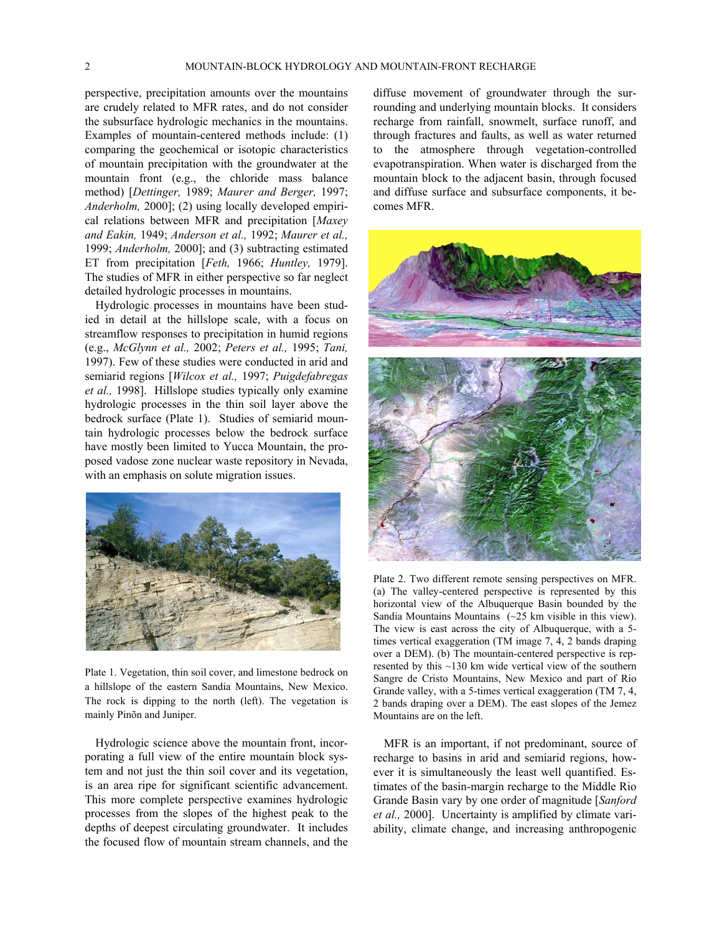perspective, precipitation amounts over the mountains are crudely related to MFR rates, and do not consider the subsurface hydrologic mechanics in the mountains. Examples of mountain-centered methods include: (1) comparing the geochemical or isotopic characteristics of mountain precipitation with the groundwater at the mountain front (e.g., the chloride mass balance method) [*Dettinger,* 1989; *Maurer and Berger,* 1997; *Anderholm,* 2000]; (2) using locally developed empirical relations between MFR and precipitation [*Maxey and Eakin,* 1949; *Anderson et al.,* 1992; *Maurer et al.,*  1999; *Anderholm,* 2000]; and (3) subtracting estimated ET from precipitation [*Feth,* 1966; *Huntley,* 1979]. The studies of MFR in either perspective so far neglect detailed hydrologic processes in mountains.

Hydrologic processes in mountains have been studied in detail at the hillslope scale, with a focus on streamflow responses to precipitation in humid regions (e.g., *McGlynn et al.,* 2002; *Peters et al.,* 1995; *Tani,*  1997). Few of these studies were conducted in arid and semiarid regions [*Wilcox et al.,* 1997; *Puigdefabregas et al.,* 1998]. Hillslope studies typically only examine hydrologic processes in the thin soil layer above the bedrock surface (Plate 1). Studies of semiarid mountain hydrologic processes below the bedrock surface have mostly been limited to Yucca Mountain, the proposed vadose zone nuclear waste repository in Nevada, with an emphasis on solute migration issues.



Plate 1. Vegetation, thin soil cover, and limestone bedrock on a hillslope of the eastern Sandia Mountains, New Mexico. The rock is dipping to the north (left). The vegetation is mainly Pinõn and Juniper.

Hydrologic science above the mountain front, incorporating a full view of the entire mountain block system and not just the thin soil cover and its vegetation, is an area ripe for significant scientific advancement. This more complete perspective examines hydrologic processes from the slopes of the highest peak to the depths of deepest circulating groundwater. It includes the focused flow of mountain stream channels, and the diffuse movement of groundwater through the surrounding and underlying mountain blocks. It considers recharge from rainfall, snowmelt, surface runoff, and through fractures and faults, as well as water returned to the atmosphere through vegetation-controlled evapotranspiration. When water is discharged from the mountain block to the adjacent basin, through focused and diffuse surface and subsurface components, it becomes MFR.



Plate 2. Two different remote sensing perspectives on MFR. (a) The valley-centered perspective is represented by this horizontal view of the Albuquerque Basin bounded by the Sandia Mountains Mountains (~25 km visible in this view). The view is east across the city of Albuquerque, with a 5 times vertical exaggeration (TM image 7, 4, 2 bands draping over a DEM). (b) The mountain-centered perspective is represented by this ~130 km wide vertical view of the southern Sangre de Cristo Mountains, New Mexico and part of Rio Grande valley, with a 5-times vertical exaggeration (TM 7, 4, 2 bands draping over a DEM). The east slopes of the Jemez Mountains are on the left.

MFR is an important, if not predominant, source of recharge to basins in arid and semiarid regions, however it is simultaneously the least well quantified. Estimates of the basin-margin recharge to the Middle Rio Grande Basin vary by one order of magnitude [*Sanford et al.,* 2000]. Uncertainty is amplified by climate variability, climate change, and increasing anthropogenic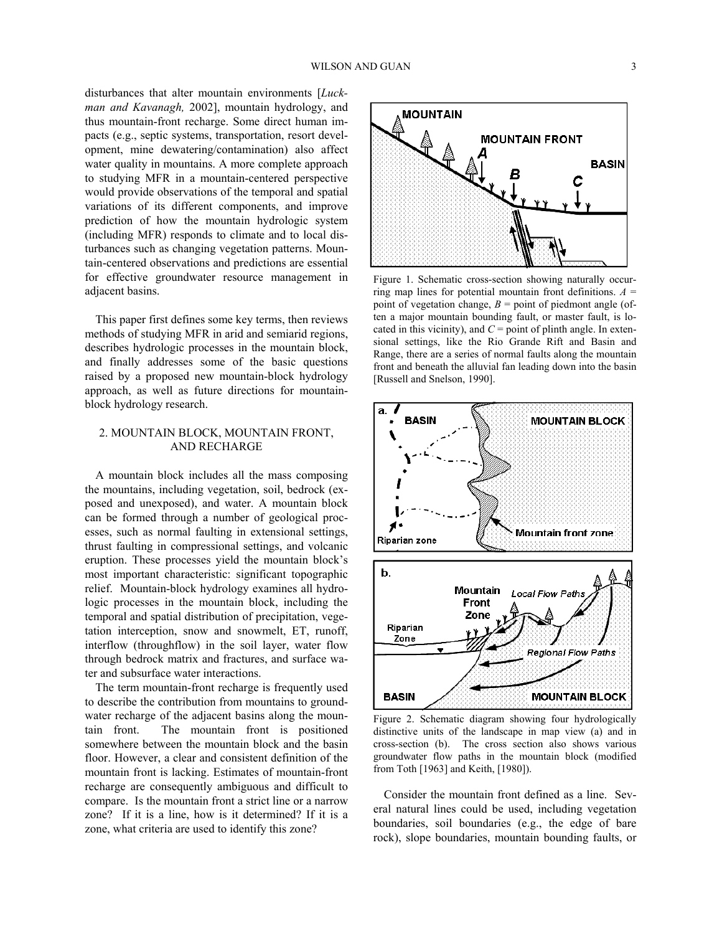disturbances that alter mountain environments [*Luckman and Kavanagh,* 2002], mountain hydrology, and thus mountain-front recharge. Some direct human impacts (e.g., septic systems, transportation, resort development, mine dewatering/contamination) also affect water quality in mountains. A more complete approach to studying MFR in a mountain-centered perspective would provide observations of the temporal and spatial variations of its different components, and improve prediction of how the mountain hydrologic system (including MFR) responds to climate and to local disturbances such as changing vegetation patterns. Mountain-centered observations and predictions are essential for effective groundwater resource management in adjacent basins.

This paper first defines some key terms, then reviews methods of studying MFR in arid and semiarid regions, describes hydrologic processes in the mountain block, and finally addresses some of the basic questions raised by a proposed new mountain-block hydrology approach, as well as future directions for mountainblock hydrology research.

## 2. MOUNTAIN BLOCK, MOUNTAIN FRONT, AND RECHARGE

A mountain block includes all the mass composing the mountains, including vegetation, soil, bedrock (exposed and unexposed), and water. A mountain block can be formed through a number of geological processes, such as normal faulting in extensional settings, thrust faulting in compressional settings, and volcanic eruption. These processes yield the mountain block's most important characteristic: significant topographic relief. Mountain-block hydrology examines all hydrologic processes in the mountain block, including the temporal and spatial distribution of precipitation, vegetation interception, snow and snowmelt, ET, runoff, interflow (throughflow) in the soil layer, water flow through bedrock matrix and fractures, and surface water and subsurface water interactions.

The term mountain-front recharge is frequently used to describe the contribution from mountains to groundwater recharge of the adjacent basins along the mountain front. The mountain front is positioned somewhere between the mountain block and the basin floor. However, a clear and consistent definition of the mountain front is lacking. Estimates of mountain-front recharge are consequently ambiguous and difficult to compare. Is the mountain front a strict line or a narrow zone? If it is a line, how is it determined? If it is a zone, what criteria are used to identify this zone?



Figure 1. Schematic cross-section showing naturally occurring map lines for potential mountain front definitions.  $A =$ point of vegetation change,  $B =$  point of piedmont angle (often a major mountain bounding fault, or master fault, is located in this vicinity), and  $C =$  point of plinth angle. In extensional settings, like the Rio Grande Rift and Basin and Range, there are a series of normal faults along the mountain front and beneath the alluvial fan leading down into the basin [Russell and Snelson, 1990].



Figure 2. Schematic diagram showing four hydrologically distinctive units of the landscape in map view (a) and in cross-section (b). The cross section also shows various groundwater flow paths in the mountain block (modified from Toth [1963] and Keith, [1980]).

Consider the mountain front defined as a line. Several natural lines could be used, including vegetation boundaries, soil boundaries (e.g., the edge of bare rock), slope boundaries, mountain bounding faults, or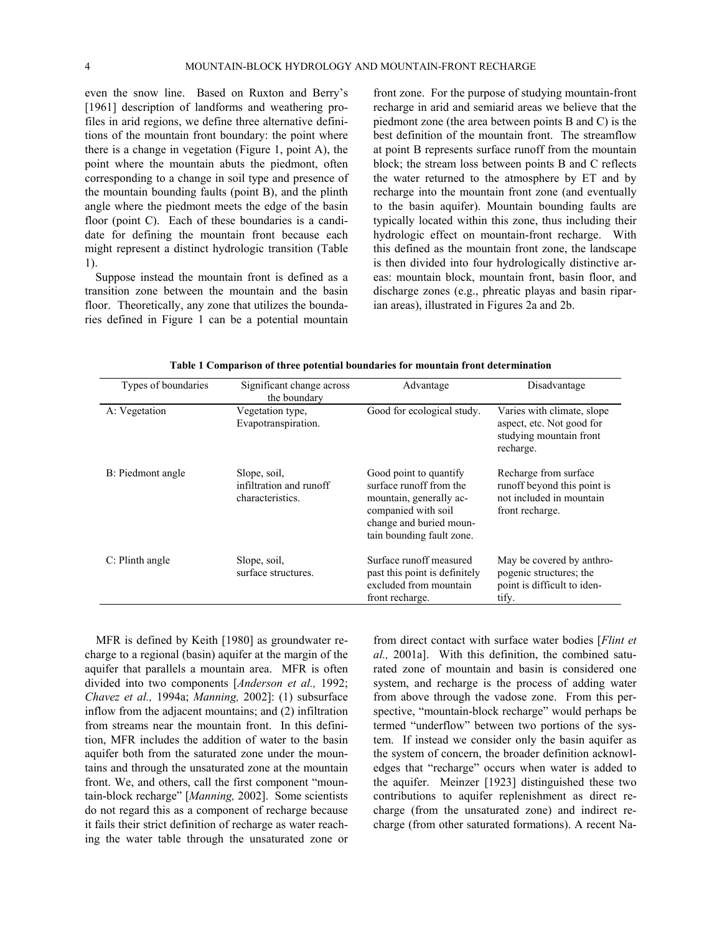even the snow line. Based on Ruxton and Berry's [1961] description of landforms and weathering profiles in arid regions, we define three alternative definitions of the mountain front boundary: the point where there is a change in vegetation (Figure 1, point A), the point where the mountain abuts the piedmont, often corresponding to a change in soil type and presence of the mountain bounding faults (point B), and the plinth angle where the piedmont meets the edge of the basin floor (point C). Each of these boundaries is a candidate for defining the mountain front because each might represent a distinct hydrologic transition (Table 1).

Suppose instead the mountain front is defined as a transition zone between the mountain and the basin floor. Theoretically, any zone that utilizes the boundaries defined in Figure 1 can be a potential mountain front zone. For the purpose of studying mountain-front recharge in arid and semiarid areas we believe that the piedmont zone (the area between points B and C) is the best definition of the mountain front. The streamflow at point B represents surface runoff from the mountain block; the stream loss between points B and C reflects the water returned to the atmosphere by ET and by recharge into the mountain front zone (and eventually to the basin aquifer). Mountain bounding faults are typically located within this zone, thus including their hydrologic effect on mountain-front recharge. With this defined as the mountain front zone, the landscape is then divided into four hydrologically distinctive areas: mountain block, mountain front, basin floor, and discharge zones (e.g., phreatic playas and basin riparian areas), illustrated in Figures 2a and 2b.

| Types of boundaries | Significant change across<br>the boundary                   | Advantage                                                                                                                                                   | Disadvantage                                                                                        |
|---------------------|-------------------------------------------------------------|-------------------------------------------------------------------------------------------------------------------------------------------------------------|-----------------------------------------------------------------------------------------------------|
| A: Vegetation       | Vegetation type,<br>Evapotranspiration.                     | Good for ecological study.                                                                                                                                  | Varies with climate, slope<br>aspect, etc. Not good for<br>studying mountain front<br>recharge.     |
| B: Piedmont angle   | Slope, soil,<br>infiltration and runoff<br>characteristics. | Good point to quantify<br>surface runoff from the<br>mountain, generally ac-<br>companied with soil<br>change and buried moun-<br>tain bounding fault zone. | Recharge from surface<br>runoff beyond this point is<br>not included in mountain<br>front recharge. |
| C: Plinth angle     | Slope, soil,<br>surface structures.                         | Surface runoff measured<br>past this point is definitely<br>excluded from mountain<br>front recharge.                                                       | May be covered by anthro-<br>pogenic structures; the<br>point is difficult to iden-<br>tify.        |

**Table 1 Comparison of three potential boundaries for mountain front determination** 

MFR is defined by Keith [1980] as groundwater recharge to a regional (basin) aquifer at the margin of the aquifer that parallels a mountain area. MFR is often divided into two components [*Anderson et al.,* 1992; *Chavez et al.,* 1994a; *Manning,* 2002]: (1) subsurface inflow from the adjacent mountains; and (2) infiltration from streams near the mountain front. In this definition, MFR includes the addition of water to the basin aquifer both from the saturated zone under the mountains and through the unsaturated zone at the mountain front. We, and others, call the first component "mountain-block recharge" [*Manning,* 2002]. Some scientists do not regard this as a component of recharge because it fails their strict definition of recharge as water reaching the water table through the unsaturated zone or

from direct contact with surface water bodies [*Flint et al.,* 2001a]. With this definition, the combined saturated zone of mountain and basin is considered one system, and recharge is the process of adding water from above through the vadose zone. From this perspective, "mountain-block recharge" would perhaps be termed "underflow" between two portions of the system. If instead we consider only the basin aquifer as the system of concern, the broader definition acknowledges that "recharge" occurs when water is added to the aquifer. Meinzer [1923] distinguished these two contributions to aquifer replenishment as direct recharge (from the unsaturated zone) and indirect recharge (from other saturated formations). A recent Na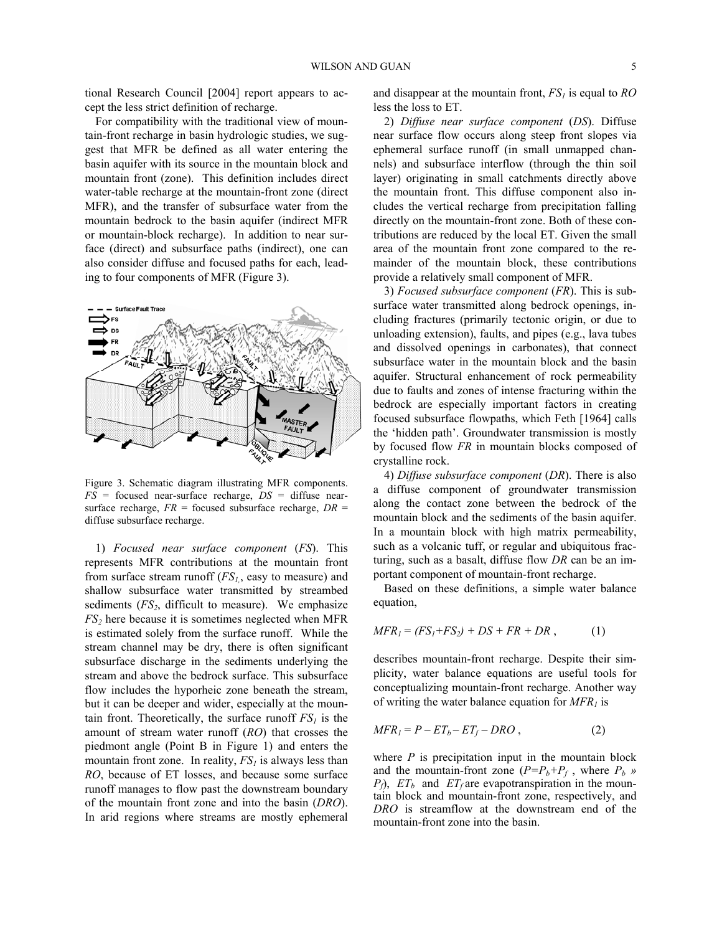tional Research Council [2004] report appears to accept the less strict definition of recharge.

For compatibility with the traditional view of mountain-front recharge in basin hydrologic studies, we suggest that MFR be defined as all water entering the basin aquifer with its source in the mountain block and mountain front (zone). This definition includes direct water-table recharge at the mountain-front zone (direct MFR), and the transfer of subsurface water from the mountain bedrock to the basin aquifer (indirect MFR or mountain-block recharge). In addition to near surface (direct) and subsurface paths (indirect), one can also consider diffuse and focused paths for each, leading to four components of MFR (Figure 3).



Figure 3. Schematic diagram illustrating MFR components. *FS* = focused near-surface recharge, *DS* = diffuse nearsurface recharge, *FR* = focused subsurface recharge, *DR* = diffuse subsurface recharge.

1) *Focused near surface component* (*FS*). This represents MFR contributions at the mountain front from surface stream runoff (*FS1,*, easy to measure) and shallow subsurface water transmitted by streambed sediments  $(FS_2$ , difficult to measure). We emphasize *FS<sub>2</sub>* here because it is sometimes neglected when MFR is estimated solely from the surface runoff. While the stream channel may be dry, there is often significant subsurface discharge in the sediments underlying the stream and above the bedrock surface. This subsurface flow includes the hyporheic zone beneath the stream, but it can be deeper and wider, especially at the mountain front. Theoretically, the surface runoff  $FS<sub>1</sub>$  is the amount of stream water runoff (*RO*) that crosses the piedmont angle (Point B in Figure 1) and enters the mountain front zone. In reality,  $FS<sub>i</sub>$  is always less than *RO*, because of ET losses, and because some surface runoff manages to flow past the downstream boundary of the mountain front zone and into the basin (*DRO*). In arid regions where streams are mostly ephemeral

and disappear at the mountain front, *FS1* is equal to *RO* less the loss to ET.

2) *Diffuse near surface component* (*DS*). Diffuse near surface flow occurs along steep front slopes via ephemeral surface runoff (in small unmapped channels) and subsurface interflow (through the thin soil layer) originating in small catchments directly above the mountain front. This diffuse component also includes the vertical recharge from precipitation falling directly on the mountain-front zone. Both of these contributions are reduced by the local ET. Given the small area of the mountain front zone compared to the remainder of the mountain block, these contributions provide a relatively small component of MFR.

3) *Focused subsurface component* (*FR*). This is subsurface water transmitted along bedrock openings, including fractures (primarily tectonic origin, or due to unloading extension), faults, and pipes (e.g., lava tubes and dissolved openings in carbonates), that connect subsurface water in the mountain block and the basin aquifer. Structural enhancement of rock permeability due to faults and zones of intense fracturing within the bedrock are especially important factors in creating focused subsurface flowpaths, which Feth [1964] calls the 'hidden path'. Groundwater transmission is mostly by focused flow *FR* in mountain blocks composed of crystalline rock.

4) *Diffuse subsurface component* (*DR*). There is also a diffuse component of groundwater transmission along the contact zone between the bedrock of the mountain block and the sediments of the basin aquifer. In a mountain block with high matrix permeability, such as a volcanic tuff, or regular and ubiquitous fracturing, such as a basalt, diffuse flow *DR* can be an important component of mountain-front recharge.

Based on these definitions, a simple water balance equation,

$$
MFR_1 = (FS_1 + FS_2) + DS + FR + DR , \qquad (1)
$$

describes mountain-front recharge. Despite their simplicity, water balance equations are useful tools for conceptualizing mountain-front recharge. Another way of writing the water balance equation for  $MFR<sub>1</sub>$  is

$$
MFR_I = P - ET_b - ET_f - DRO , \qquad (2)
$$

where  $P$  is precipitation input in the mountain block and the mountain-front zone  $(P = P_b + P_f)$ , where  $P_b$  »  $P_f$ ,  $ET_b$  and  $ET_f$  are evapotranspiration in the mountain block and mountain-front zone, respectively, and *DRO* is streamflow at the downstream end of the mountain-front zone into the basin.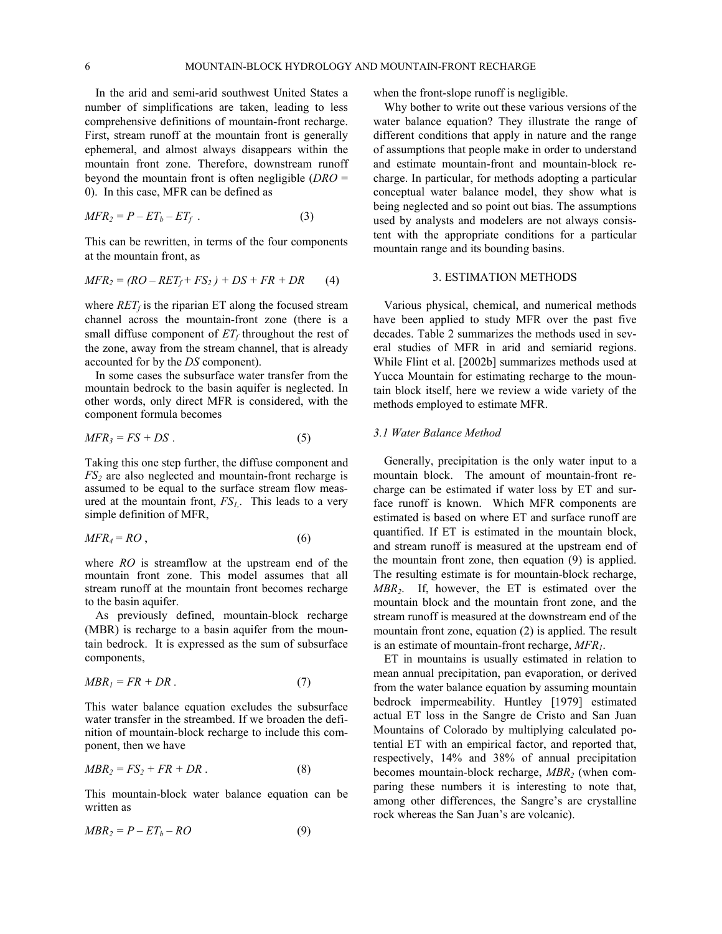In the arid and semi-arid southwest United States a number of simplifications are taken, leading to less comprehensive definitions of mountain-front recharge. First, stream runoff at the mountain front is generally ephemeral, and almost always disappears within the mountain front zone. Therefore, downstream runoff beyond the mountain front is often negligible (*DRO* = 0). In this case, MFR can be defined as

$$
MFR_2 = P - ET_b - ET_f \tag{3}
$$

This can be rewritten, in terms of the four components at the mountain front, as

$$
MFR_2 = (RO - RET_f + FS_2) + DS + FR + DR \qquad (4)
$$

where  $RET_f$  is the riparian ET along the focused stream channel across the mountain-front zone (there is a small diffuse component of  $ET_f$  throughout the rest of the zone, away from the stream channel, that is already accounted for by the *DS* component).

In some cases the subsurface water transfer from the mountain bedrock to the basin aquifer is neglected. In other words, only direct MFR is considered, with the component formula becomes

$$
MFR_3 = FS + DS \tag{5}
$$

Taking this one step further, the diffuse component and *FS<sub>2</sub>* are also neglected and mountain-front recharge is assumed to be equal to the surface stream flow measured at the mountain front,  $FS_l$ . This leads to a very simple definition of MFR,

$$
MFR_4 = RO \tag{6}
$$

where *RO* is streamflow at the upstream end of the mountain front zone. This model assumes that all stream runoff at the mountain front becomes recharge to the basin aquifer.

As previously defined, mountain-block recharge (MBR) is recharge to a basin aquifer from the mountain bedrock. It is expressed as the sum of subsurface components,

$$
MBR_1 = FR + DR. \tag{7}
$$

This water balance equation excludes the subsurface water transfer in the streambed. If we broaden the definition of mountain-block recharge to include this component, then we have

$$
MBR_2 = FS_2 + FR + DR \ . \tag{8}
$$

This mountain-block water balance equation can be written as

$$
MBR_2 = P - ET_b - RO \tag{9}
$$

when the front-slope runoff is negligible.

Why bother to write out these various versions of the water balance equation? They illustrate the range of different conditions that apply in nature and the range of assumptions that people make in order to understand and estimate mountain-front and mountain-block recharge. In particular, for methods adopting a particular conceptual water balance model, they show what is being neglected and so point out bias. The assumptions used by analysts and modelers are not always consistent with the appropriate conditions for a particular mountain range and its bounding basins.

#### 3. ESTIMATION METHODS

Various physical, chemical, and numerical methods have been applied to study MFR over the past five decades. Table 2 summarizes the methods used in several studies of MFR in arid and semiarid regions. While Flint et al. [2002b] summarizes methods used at Yucca Mountain for estimating recharge to the mountain block itself, here we review a wide variety of the methods employed to estimate MFR.

#### *3.1 Water Balance Method*

Generally, precipitation is the only water input to a mountain block. The amount of mountain-front recharge can be estimated if water loss by ET and surface runoff is known. Which MFR components are estimated is based on where ET and surface runoff are quantified. If ET is estimated in the mountain block, and stream runoff is measured at the upstream end of the mountain front zone, then equation (9) is applied. The resulting estimate is for mountain-block recharge, *MBR2*. If, however, the ET is estimated over the mountain block and the mountain front zone, and the stream runoff is measured at the downstream end of the mountain front zone, equation (2) is applied. The result is an estimate of mountain-front recharge, *MFR1*.

ET in mountains is usually estimated in relation to mean annual precipitation, pan evaporation, or derived from the water balance equation by assuming mountain bedrock impermeability. Huntley [1979] estimated actual ET loss in the Sangre de Cristo and San Juan Mountains of Colorado by multiplying calculated potential ET with an empirical factor, and reported that, respectively, 14% and 38% of annual precipitation becomes mountain-block recharge, *MBR2* (when comparing these numbers it is interesting to note that, among other differences, the Sangre's are crystalline rock whereas the San Juan's are volcanic).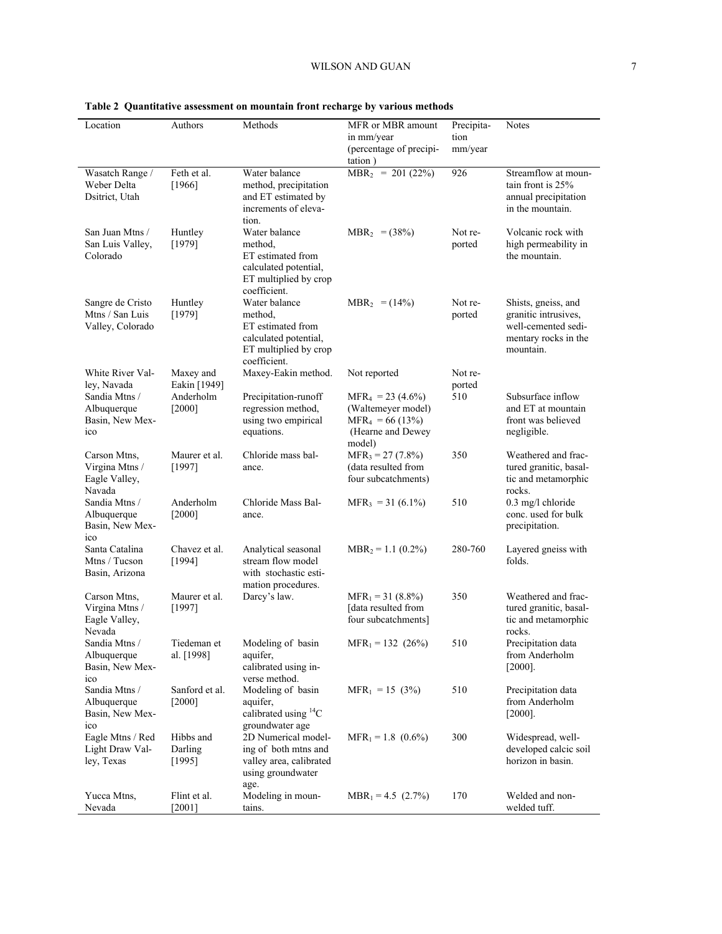| Location                                                  | Authors                        | Methods                                                                                                         | MFR or MBR amount<br>in mm/year<br>(percentage of precipi-<br>tation)                         | Precipita-<br>tion<br>mm/year | Notes                                                                                                   |
|-----------------------------------------------------------|--------------------------------|-----------------------------------------------------------------------------------------------------------------|-----------------------------------------------------------------------------------------------|-------------------------------|---------------------------------------------------------------------------------------------------------|
| Wasatch Range /<br>Weber Delta<br>Dsitrict, Utah          | Feth et al.<br>[1966]          | Water balance<br>method, precipitation<br>and ET estimated by<br>increments of eleva-<br>tion.                  | $MBR_2 = 201 (22%)$                                                                           | 926                           | Streamflow at moun-<br>tain front is 25%<br>annual precipitation<br>in the mountain.                    |
| San Juan Mtns /<br>San Luis Valley,<br>Colorado           | Huntley<br>[1979]              | Water balance<br>method,<br>ET estimated from<br>calculated potential,<br>ET multiplied by crop<br>coefficient. | $MBR_2 = (38\%)$                                                                              | Not re-<br>ported             | Volcanic rock with<br>high permeability in<br>the mountain.                                             |
| Sangre de Cristo<br>Mtns / San Luis<br>Valley, Colorado   | Huntley<br>[1979]              | Water balance<br>method,<br>ET estimated from<br>calculated potential,<br>ET multiplied by crop<br>coefficient. | $MBR_2 = (14\%)$                                                                              | Not re-<br>ported             | Shists, gneiss, and<br>granitic intrusives,<br>well-cemented sedi-<br>mentary rocks in the<br>mountain. |
| White River Val-<br>ley, Navada                           | Maxey and<br>Eakin [1949]      | Maxey-Eakin method.                                                                                             | Not reported                                                                                  | Not re-<br>ported             |                                                                                                         |
| Sandia Mtns /<br>Albuquerque<br>Basin, New Mex-<br>ico    | Anderholm<br>$[2000]$          | Precipitation-runoff<br>regression method.<br>using two empirical<br>equations.                                 | $MFR4 = 23 (4.6%)$<br>(Waltemeyer model)<br>$MFR_4 = 66(13\%)$<br>(Hearne and Dewey<br>model) | 510                           | Subsurface inflow<br>and ET at mountain<br>front was believed<br>negligible.                            |
| Carson Mtns,<br>Virgina Mtns /<br>Eagle Valley,<br>Navada | Maurer et al.<br>[1997]        | Chloride mass bal-<br>ance.                                                                                     | $MFR_3 = 27 (7.8\%)$<br>(data resulted from<br>four subcatchments)                            | 350                           | Weathered and frac-<br>tured granitic, basal-<br>tic and metamorphic<br>rocks.                          |
| Sandia Mtns /<br>Albuquerque<br>Basin, New Mex-<br>ico    | Anderholm<br>$[2000]$          | Chloride Mass Bal-<br>ance.                                                                                     | $MFR_3 = 31 (6.1\%)$                                                                          | 510                           | 0.3 mg/l chloride<br>conc. used for bulk<br>precipitation.                                              |
| Santa Catalina<br>Mtns / Tucson<br>Basin, Arizona         | Chavez et al.<br>[1994]        | Analytical seasonal<br>stream flow model<br>with stochastic esti-                                               | $MBR_2 = 1.1 (0.2\%)$                                                                         | 280-760                       | Layered gneiss with<br>folds.                                                                           |
| Carson Mtns,<br>Virgina Mtns /<br>Eagle Valley,<br>Nevada | Maurer et al.<br>[1997]        | mation procedures.<br>Darcy's law.                                                                              | $MFR_1 = 31 (8.8\%)$<br>data resulted from<br>four subcatchments]                             | 350                           | Weathered and frac-<br>tured granitic, basal-<br>tic and metamorphic<br>rocks.                          |
| Sandia Mtns /<br>Albuquerque<br>Basin, New Mex-<br>ico    | Tiedeman et<br>al. [1998]      | Modeling of basin<br>aquifer.<br>calibrated using in-<br>verse method.                                          | $MFR_1 = 132 (26%)$                                                                           | 510                           | Precipitation data<br>from Anderholm<br>$[2000]$ .                                                      |
| Sandia Mtns /<br>Albuquerque<br>Basin, New Mex-<br>ico    | Sanford et al.<br>$[2000]$     | Modeling of basin<br>aquifer,<br>calibrated using ${}^{14}C$<br>groundwater age                                 | $MFR_1 = 15$ (3%)                                                                             | 510                           | Precipitation data<br>from Anderholm<br>$[2000]$ .                                                      |
| Eagle Mtns / Red<br>Light Draw Val-<br>ley, Texas         | Hibbs and<br>Darling<br>[1995] | 2D Numerical model-<br>ing of both mtns and<br>valley area, calibrated<br>using groundwater<br>age.             | $MFR_1 = 1.8$ (0.6%)                                                                          | 300                           | Widespread, well-<br>developed calcic soil<br>horizon in basin.                                         |
| Yucca Mtns,<br>Nevada                                     | Flint et al.<br>$[2001]$       | Modeling in moun-<br>tains.                                                                                     | $MBR_1 = 4.5$ (2.7%)                                                                          | 170                           | Welded and non-<br>welded tuff.                                                                         |

## **Table 2 Quantitative assessment on mountain front recharge by various methods**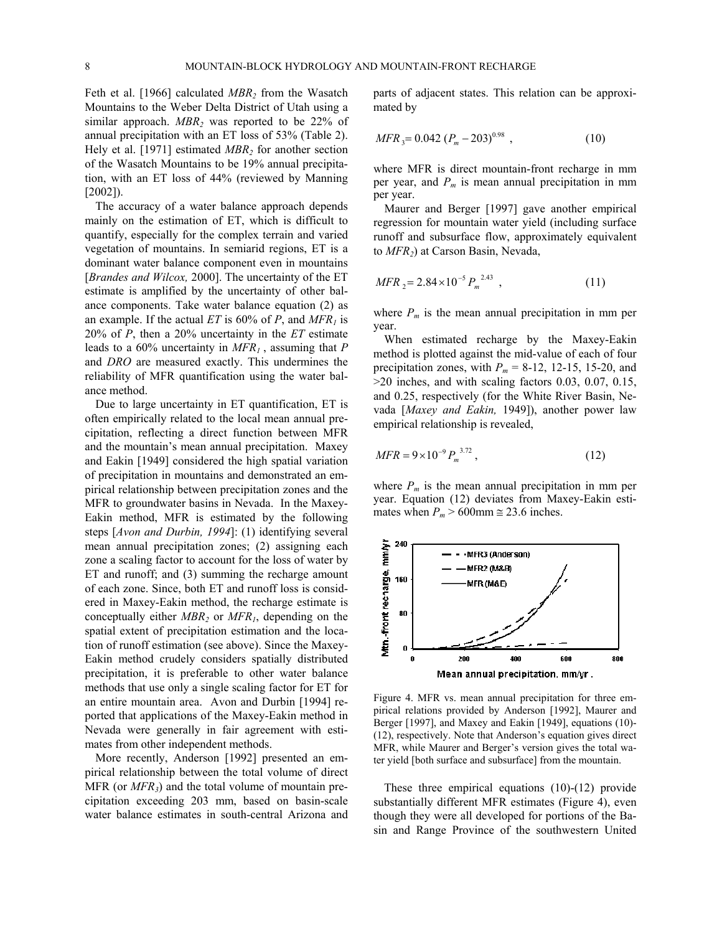Feth et al. [1966] calculated *MBR*<sub>2</sub> from the Wasatch Mountains to the Weber Delta District of Utah using a similar approach. *MBR2* was reported to be 22% of annual precipitation with an ET loss of 53% (Table 2). Hely et al. [1971] estimated *MBR2* for another section of the Wasatch Mountains to be 19% annual precipitation, with an ET loss of 44% (reviewed by Manning [2002]).

The accuracy of a water balance approach depends mainly on the estimation of ET, which is difficult to quantify, especially for the complex terrain and varied vegetation of mountains. In semiarid regions, ET is a dominant water balance component even in mountains [*Brandes and Wilcox,* 2000]. The uncertainty of the ET estimate is amplified by the uncertainty of other balance components. Take water balance equation (2) as an example. If the actual  $ET$  is 60% of P, and  $MFR<sub>1</sub>$  is 20% of *P*, then a 20% uncertainty in the *ET* estimate leads to a 60% uncertainty in *MFR1* , assuming that *P* and *DRO* are measured exactly. This undermines the reliability of MFR quantification using the water balance method.

Due to large uncertainty in ET quantification, ET is often empirically related to the local mean annual precipitation, reflecting a direct function between MFR and the mountain's mean annual precipitation. Maxey and Eakin [1949] considered the high spatial variation of precipitation in mountains and demonstrated an empirical relationship between precipitation zones and the MFR to groundwater basins in Nevada. In the Maxey-Eakin method, MFR is estimated by the following steps [*Avon and Durbin, 1994*]: (1) identifying several mean annual precipitation zones; (2) assigning each zone a scaling factor to account for the loss of water by ET and runoff; and (3) summing the recharge amount of each zone. Since, both ET and runoff loss is considered in Maxey-Eakin method, the recharge estimate is conceptually either *MBR2* or *MFR1*, depending on the spatial extent of precipitation estimation and the location of runoff estimation (see above). Since the Maxey-Eakin method crudely considers spatially distributed precipitation, it is preferable to other water balance methods that use only a single scaling factor for ET for an entire mountain area. Avon and Durbin [1994] reported that applications of the Maxey-Eakin method in Nevada were generally in fair agreement with estimates from other independent methods.

More recently, Anderson [1992] presented an empirical relationship between the total volume of direct MFR (or  $MFR_3$ ) and the total volume of mountain precipitation exceeding 203 mm, based on basin-scale water balance estimates in south-central Arizona and

parts of adjacent states. This relation can be approximated by

$$
MFR_3 = 0.042 (P_m - 203)^{0.98} , \qquad (10)
$$

where MFR is direct mountain-front recharge in mm per year, and  $P_m$  is mean annual precipitation in mm per year.

Maurer and Berger [1997] gave another empirical regression for mountain water yield (including surface runoff and subsurface flow, approximately equivalent to *MFR2*) at Carson Basin, Nevada,

$$
MFR_{2} = 2.84 \times 10^{-5} P_{m}^{2.43} , \qquad (11)
$$

where  $P_m$  is the mean annual precipitation in mm per year.

When estimated recharge by the Maxey-Eakin method is plotted against the mid-value of each of four precipitation zones, with  $P_m = 8-12$ , 12-15, 15-20, and >20 inches, and with scaling factors 0.03, 0.07, 0.15, and 0.25, respectively (for the White River Basin, Nevada [*Maxey and Eakin,* 1949]), another power law empirical relationship is revealed,

$$
MFR = 9 \times 10^{-9} P_m^{3.72}, \qquad (12)
$$

where  $P_m$  is the mean annual precipitation in mm per year. Equation (12) deviates from Maxey-Eakin estimates when  $P_m > 600$ mm  $\approx$  23.6 inches.



Figure 4. MFR vs. mean annual precipitation for three empirical relations provided by Anderson [1992], Maurer and Berger [1997], and Maxey and Eakin [1949], equations (10)- (12), respectively. Note that Anderson's equation gives direct MFR, while Maurer and Berger's version gives the total water yield [both surface and subsurface] from the mountain.

These three empirical equations (10)-(12) provide substantially different MFR estimates (Figure 4), even though they were all developed for portions of the Basin and Range Province of the southwestern United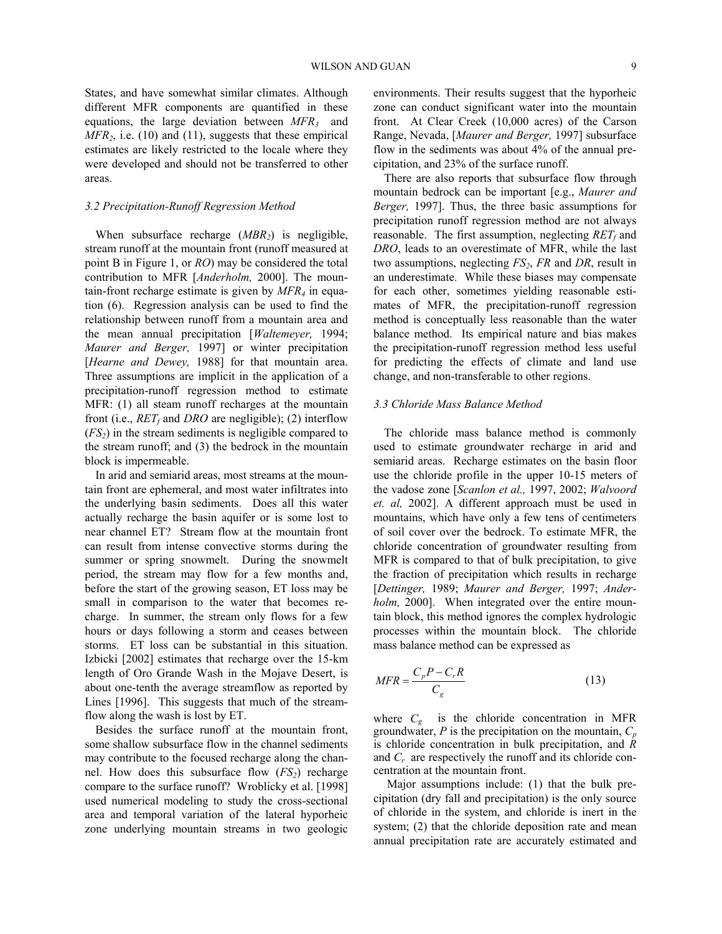States, and have somewhat similar climates. Although different MFR components are quantified in these equations, the large deviation between *MFR3* and *MFR2*, i.e. (10) and (11), suggests that these empirical estimates are likely restricted to the locale where they were developed and should not be transferred to other areas.

## *3.2 Precipitation-Runoff Regression Method*

When subsurface recharge (*MBR<sub>2</sub>*) is negligible, stream runoff at the mountain front (runoff measured at point B in Figure 1, or *RO*) may be considered the total contribution to MFR [*Anderholm,* 2000]. The mountain-front recharge estimate is given by *MFR4* in equation (6). Regression analysis can be used to find the relationship between runoff from a mountain area and the mean annual precipitation [*Waltemeyer,* 1994; *Maurer and Berger,* 1997] or winter precipitation [*Hearne and Dewey*, 1988] for that mountain area. Three assumptions are implicit in the application of a precipitation-runoff regression method to estimate MFR: (1) all steam runoff recharges at the mountain front (i.e., *RET<sub>f</sub>* and *DRO* are negligible); (2) interflow  $(FS_2)$  in the stream sediments is negligible compared to the stream runoff; and (3) the bedrock in the mountain block is impermeable.

In arid and semiarid areas, most streams at the mountain front are ephemeral, and most water infiltrates into the underlying basin sediments. Does all this water actually recharge the basin aquifer or is some lost to near channel ET? Stream flow at the mountain front can result from intense convective storms during the summer or spring snowmelt. During the snowmelt period, the stream may flow for a few months and, before the start of the growing season, ET loss may be small in comparison to the water that becomes recharge. In summer, the stream only flows for a few hours or days following a storm and ceases between storms. ET loss can be substantial in this situation. Izbicki [2002] estimates that recharge over the 15-km length of Oro Grande Wash in the Mojave Desert, is about one-tenth the average streamflow as reported by Lines [1996]. This suggests that much of the streamflow along the wash is lost by ET.

Besides the surface runoff at the mountain front, some shallow subsurface flow in the channel sediments may contribute to the focused recharge along the channel. How does this subsurface flow  $(FS_2)$  recharge compare to the surface runoff? Wroblicky et al. [1998] used numerical modeling to study the cross-sectional area and temporal variation of the lateral hyporheic zone underlying mountain streams in two geologic

environments. Their results suggest that the hyporheic zone can conduct significant water into the mountain front. At Clear Creek (10,000 acres) of the Carson Range, Nevada, [*Maurer and Berger,* 1997] subsurface flow in the sediments was about 4% of the annual precipitation, and 23% of the surface runoff.

There are also reports that subsurface flow through mountain bedrock can be important [e.g., *Maurer and Berger,* 1997]. Thus, the three basic assumptions for precipitation runoff regression method are not always reasonable. The first assumption, neglecting  $RET<sub>f</sub>$  and *DRO*, leads to an overestimate of MFR, while the last two assumptions, neglecting *FS2*, *FR* and *DR*, result in an underestimate. While these biases may compensate for each other, sometimes yielding reasonable estimates of MFR, the precipitation-runoff regression method is conceptually less reasonable than the water balance method. Its empirical nature and bias makes the precipitation-runoff regression method less useful for predicting the effects of climate and land use change, and non-transferable to other regions.

#### *3.3 Chloride Mass Balance Method*

The chloride mass balance method is commonly used to estimate groundwater recharge in arid and semiarid areas. Recharge estimates on the basin floor use the chloride profile in the upper 10-15 meters of the vadose zone [*Scanlon et al.,* 1997, 2002; *Walvoord et. al,* 2002]. A different approach must be used in mountains, which have only a few tens of centimeters of soil cover over the bedrock. To estimate MFR, the chloride concentration of groundwater resulting from MFR is compared to that of bulk precipitation, to give the fraction of precipitation which results in recharge [*Dettinger,* 1989; *Maurer and Berger,* 1997; *Anderholm,* 2000]. When integrated over the entire mountain block, this method ignores the complex hydrologic processes within the mountain block. The chloride mass balance method can be expressed as

$$
MFR = \frac{C_p P - C_r R}{C_g} \tag{13}
$$

where *Cg* is the chloride concentration in MFR groundwater,  $P$  is the precipitation on the mountain,  $C_p$ is chloride concentration in bulk precipitation, and *R* and *Cr* are respectively the runoff and its chloride concentration at the mountain front.

 Major assumptions include: (1) that the bulk precipitation (dry fall and precipitation) is the only source of chloride in the system, and chloride is inert in the system; (2) that the chloride deposition rate and mean annual precipitation rate are accurately estimated and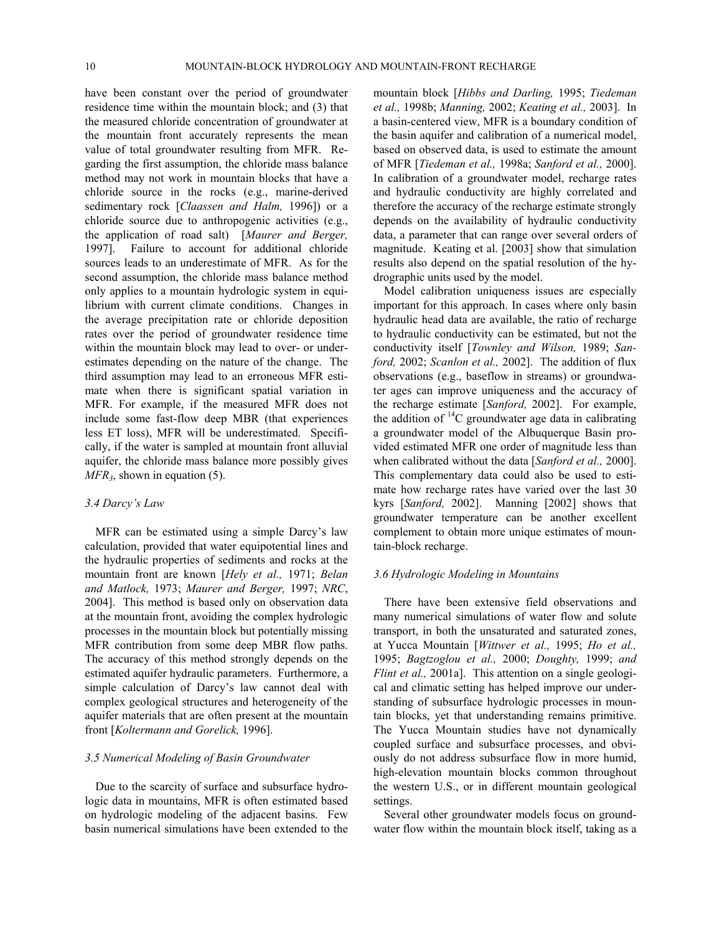have been constant over the period of groundwater residence time within the mountain block; and (3) that the measured chloride concentration of groundwater at the mountain front accurately represents the mean value of total groundwater resulting from MFR. Regarding the first assumption, the chloride mass balance method may not work in mountain blocks that have a chloride source in the rocks (e.g., marine-derived sedimentary rock [*Claassen and Halm,* 1996]) or a chloride source due to anthropogenic activities (e.g., the application of road salt) [*Maurer and Berger,*  1997]. Failure to account for additional chloride sources leads to an underestimate of MFR. As for the second assumption, the chloride mass balance method only applies to a mountain hydrologic system in equilibrium with current climate conditions. Changes in the average precipitation rate or chloride deposition rates over the period of groundwater residence time within the mountain block may lead to over- or underestimates depending on the nature of the change. The third assumption may lead to an erroneous MFR estimate when there is significant spatial variation in MFR. For example, if the measured MFR does not include some fast-flow deep MBR (that experiences less ET loss), MFR will be underestimated. Specifically, if the water is sampled at mountain front alluvial aquifer, the chloride mass balance more possibly gives *MFR3*, shown in equation (5).

## *3.4 Darcy's Law*

MFR can be estimated using a simple Darcy's law calculation, provided that water equipotential lines and the hydraulic properties of sediments and rocks at the mountain front are known [*Hely et al.,* 1971; *Belan and Matlock,* 1973; *Maurer and Berger,* 1997; *NRC*, 2004]. This method is based only on observation data at the mountain front, avoiding the complex hydrologic processes in the mountain block but potentially missing MFR contribution from some deep MBR flow paths. The accuracy of this method strongly depends on the estimated aquifer hydraulic parameters. Furthermore, a simple calculation of Darcy's law cannot deal with complex geological structures and heterogeneity of the aquifer materials that are often present at the mountain front [*Koltermann and Gorelick,* 1996].

## *3.5 Numerical Modeling of Basin Groundwater*

Due to the scarcity of surface and subsurface hydrologic data in mountains, MFR is often estimated based on hydrologic modeling of the adjacent basins. Few basin numerical simulations have been extended to the mountain block [*Hibbs and Darling,* 1995; *Tiedeman et al.,* 1998b; *Manning,* 2002; *Keating et al.,* 2003]. In a basin-centered view, MFR is a boundary condition of the basin aquifer and calibration of a numerical model, based on observed data, is used to estimate the amount of MFR [*Tiedeman et al.,* 1998a; *Sanford et al.,* 2000]. In calibration of a groundwater model, recharge rates and hydraulic conductivity are highly correlated and therefore the accuracy of the recharge estimate strongly depends on the availability of hydraulic conductivity data, a parameter that can range over several orders of magnitude. Keating et al. [2003] show that simulation results also depend on the spatial resolution of the hydrographic units used by the model.

Model calibration uniqueness issues are especially important for this approach. In cases where only basin hydraulic head data are available, the ratio of recharge to hydraulic conductivity can be estimated, but not the conductivity itself [*Townley and Wilson,* 1989; *Sanford,* 2002; *Scanlon et al.,* 2002]. The addition of flux observations (e.g., baseflow in streams) or groundwater ages can improve uniqueness and the accuracy of the recharge estimate [*Sanford,* 2002]. For example, the addition of  ${}^{14}C$  groundwater age data in calibrating a groundwater model of the Albuquerque Basin provided estimated MFR one order of magnitude less than when calibrated without the data [*Sanford et al.,* 2000]. This complementary data could also be used to estimate how recharge rates have varied over the last 30 kyrs [*Sanford,* 2002]. Manning [2002] shows that groundwater temperature can be another excellent complement to obtain more unique estimates of mountain-block recharge.

#### *3.6 Hydrologic Modeling in Mountains*

There have been extensive field observations and many numerical simulations of water flow and solute transport, in both the unsaturated and saturated zones, at Yucca Mountain [*Wittwer et al.,* 1995; *Ho et al.,*  1995; *Bagtzoglou et al.,* 2000; *Doughty,* 1999; *and Flint et al.,* 2001a]. This attention on a single geological and climatic setting has helped improve our understanding of subsurface hydrologic processes in mountain blocks, yet that understanding remains primitive. The Yucca Mountain studies have not dynamically coupled surface and subsurface processes, and obviously do not address subsurface flow in more humid, high-elevation mountain blocks common throughout the western U.S., or in different mountain geological settings.

Several other groundwater models focus on groundwater flow within the mountain block itself, taking as a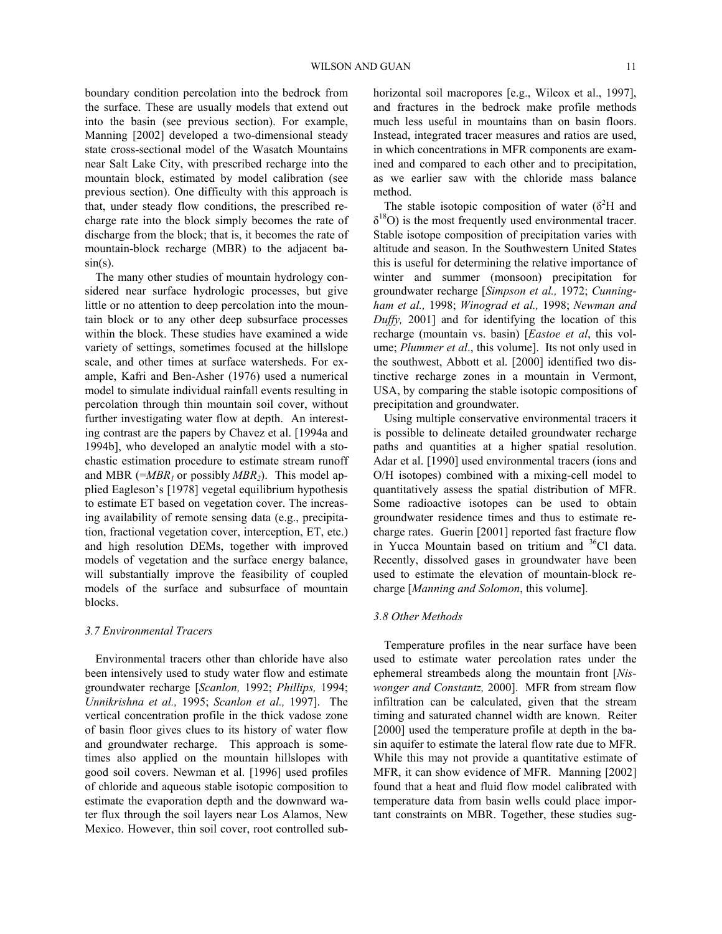boundary condition percolation into the bedrock from the surface. These are usually models that extend out into the basin (see previous section). For example, Manning [2002] developed a two-dimensional steady state cross-sectional model of the Wasatch Mountains near Salt Lake City, with prescribed recharge into the mountain block, estimated by model calibration (see previous section). One difficulty with this approach is that, under steady flow conditions, the prescribed recharge rate into the block simply becomes the rate of discharge from the block; that is, it becomes the rate of mountain-block recharge (MBR) to the adjacent ba $sin(s)$ .

The many other studies of mountain hydrology considered near surface hydrologic processes, but give little or no attention to deep percolation into the mountain block or to any other deep subsurface processes within the block. These studies have examined a wide variety of settings, sometimes focused at the hillslope scale, and other times at surface watersheds. For example, Kafri and Ben-Asher (1976) used a numerical model to simulate individual rainfall events resulting in percolation through thin mountain soil cover, without further investigating water flow at depth. An interesting contrast are the papers by Chavez et al. [1994a and 1994b], who developed an analytic model with a stochastic estimation procedure to estimate stream runoff and MBR ( $=MBR<sub>1</sub>$  or possibly  $MBR<sub>2</sub>$ ). This model applied Eagleson's [1978] vegetal equilibrium hypothesis to estimate ET based on vegetation cover. The increasing availability of remote sensing data (e.g., precipitation, fractional vegetation cover, interception, ET, etc.) and high resolution DEMs, together with improved models of vegetation and the surface energy balance, will substantially improve the feasibility of coupled models of the surface and subsurface of mountain blocks.

#### *3.7 Environmental Tracers*

Environmental tracers other than chloride have also been intensively used to study water flow and estimate groundwater recharge [*Scanlon,* 1992; *Phillips,* 1994; *Unnikrishna et al.,* 1995; *Scanlon et al.,* 1997]. The vertical concentration profile in the thick vadose zone of basin floor gives clues to its history of water flow and groundwater recharge. This approach is sometimes also applied on the mountain hillslopes with good soil covers. Newman et al. [1996] used profiles of chloride and aqueous stable isotopic composition to estimate the evaporation depth and the downward water flux through the soil layers near Los Alamos, New Mexico. However, thin soil cover, root controlled subhorizontal soil macropores [e.g., Wilcox et al., 1997], and fractures in the bedrock make profile methods much less useful in mountains than on basin floors. Instead, integrated tracer measures and ratios are used, in which concentrations in MFR components are examined and compared to each other and to precipitation, as we earlier saw with the chloride mass balance method.

The stable isotopic composition of water  $(\delta^2 H$  and  $\delta^{18}$ O) is the most frequently used environmental tracer. Stable isotope composition of precipitation varies with altitude and season. In the Southwestern United States this is useful for determining the relative importance of winter and summer (monsoon) precipitation for groundwater recharge [*Simpson et al.,* 1972; *Cunningham et al.,* 1998; *Winograd et al.,* 1998; *Newman and Duffy,* 2001] and for identifying the location of this recharge (mountain vs. basin) [*Eastoe et al*, this volume; *Plummer et al*., this volume]. Its not only used in the southwest, Abbott et al. [2000] identified two distinctive recharge zones in a mountain in Vermont, USA, by comparing the stable isotopic compositions of precipitation and groundwater.

Using multiple conservative environmental tracers it is possible to delineate detailed groundwater recharge paths and quantities at a higher spatial resolution. Adar et al. [1990] used environmental tracers (ions and O/H isotopes) combined with a mixing-cell model to quantitatively assess the spatial distribution of MFR. Some radioactive isotopes can be used to obtain groundwater residence times and thus to estimate recharge rates. Guerin [2001] reported fast fracture flow in Yucca Mountain based on tritium and 36Cl data. Recently, dissolved gases in groundwater have been used to estimate the elevation of mountain-block recharge [*Manning and Solomon*, this volume].

## *3.8 Other Methods*

Temperature profiles in the near surface have been used to estimate water percolation rates under the ephemeral streambeds along the mountain front [*Niswonger and Constantz,* 2000].MFR from stream flow infiltration can be calculated, given that the stream timing and saturated channel width are known. Reiter [2000] used the temperature profile at depth in the basin aquifer to estimate the lateral flow rate due to MFR. While this may not provide a quantitative estimate of MFR, it can show evidence of MFR. Manning [2002] found that a heat and fluid flow model calibrated with temperature data from basin wells could place important constraints on MBR. Together, these studies sug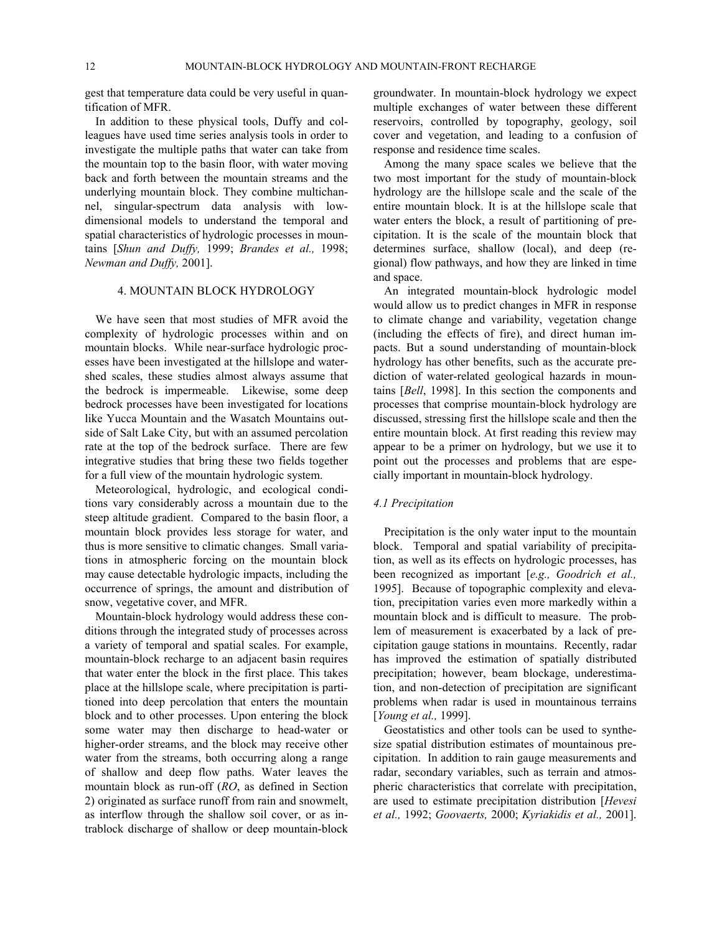gest that temperature data could be very useful in quantification of MFR.

In addition to these physical tools, Duffy and colleagues have used time series analysis tools in order to investigate the multiple paths that water can take from the mountain top to the basin floor, with water moving back and forth between the mountain streams and the underlying mountain block. They combine multichannel, singular-spectrum data analysis with lowdimensional models to understand the temporal and spatial characteristics of hydrologic processes in mountains [*Shun and Duffy,* 1999; *Brandes et al.,* 1998; *Newman and Duffy,* 2001].

## 4. MOUNTAIN BLOCK HYDROLOGY

We have seen that most studies of MFR avoid the complexity of hydrologic processes within and on mountain blocks. While near-surface hydrologic processes have been investigated at the hillslope and watershed scales, these studies almost always assume that the bedrock is impermeable. Likewise, some deep bedrock processes have been investigated for locations like Yucca Mountain and the Wasatch Mountains outside of Salt Lake City, but with an assumed percolation rate at the top of the bedrock surface. There are few integrative studies that bring these two fields together for a full view of the mountain hydrologic system.

Meteorological, hydrologic, and ecological conditions vary considerably across a mountain due to the steep altitude gradient. Compared to the basin floor, a mountain block provides less storage for water, and thus is more sensitive to climatic changes. Small variations in atmospheric forcing on the mountain block may cause detectable hydrologic impacts, including the occurrence of springs, the amount and distribution of snow, vegetative cover, and MFR.

Mountain-block hydrology would address these conditions through the integrated study of processes across a variety of temporal and spatial scales. For example, mountain-block recharge to an adjacent basin requires that water enter the block in the first place. This takes place at the hillslope scale, where precipitation is partitioned into deep percolation that enters the mountain block and to other processes. Upon entering the block some water may then discharge to head-water or higher-order streams, and the block may receive other water from the streams, both occurring along a range of shallow and deep flow paths. Water leaves the mountain block as run-off (*RO*, as defined in Section 2) originated as surface runoff from rain and snowmelt, as interflow through the shallow soil cover, or as intrablock discharge of shallow or deep mountain-block

groundwater. In mountain-block hydrology we expect multiple exchanges of water between these different reservoirs, controlled by topography, geology, soil cover and vegetation, and leading to a confusion of response and residence time scales.

Among the many space scales we believe that the two most important for the study of mountain-block hydrology are the hillslope scale and the scale of the entire mountain block. It is at the hillslope scale that water enters the block, a result of partitioning of precipitation. It is the scale of the mountain block that determines surface, shallow (local), and deep (regional) flow pathways, and how they are linked in time and space.

An integrated mountain-block hydrologic model would allow us to predict changes in MFR in response to climate change and variability, vegetation change (including the effects of fire), and direct human impacts. But a sound understanding of mountain-block hydrology has other benefits, such as the accurate prediction of water-related geological hazards in mountains [*Bell*, 1998]. In this section the components and processes that comprise mountain-block hydrology are discussed, stressing first the hillslope scale and then the entire mountain block. At first reading this review may appear to be a primer on hydrology, but we use it to point out the processes and problems that are especially important in mountain-block hydrology.

## *4.1 Precipitation*

Precipitation is the only water input to the mountain block. Temporal and spatial variability of precipitation, as well as its effects on hydrologic processes, has been recognized as important [*e.g., Goodrich et al.,*  1995]. Because of topographic complexity and elevation, precipitation varies even more markedly within a mountain block and is difficult to measure. The problem of measurement is exacerbated by a lack of precipitation gauge stations in mountains. Recently, radar has improved the estimation of spatially distributed precipitation; however, beam blockage, underestimation, and non-detection of precipitation are significant problems when radar is used in mountainous terrains [*Young et al.,* 1999].

Geostatistics and other tools can be used to synthesize spatial distribution estimates of mountainous precipitation. In addition to rain gauge measurements and radar, secondary variables, such as terrain and atmospheric characteristics that correlate with precipitation, are used to estimate precipitation distribution [*Hevesi et al.,* 1992; *Goovaerts,* 2000; *Kyriakidis et al.,* 2001].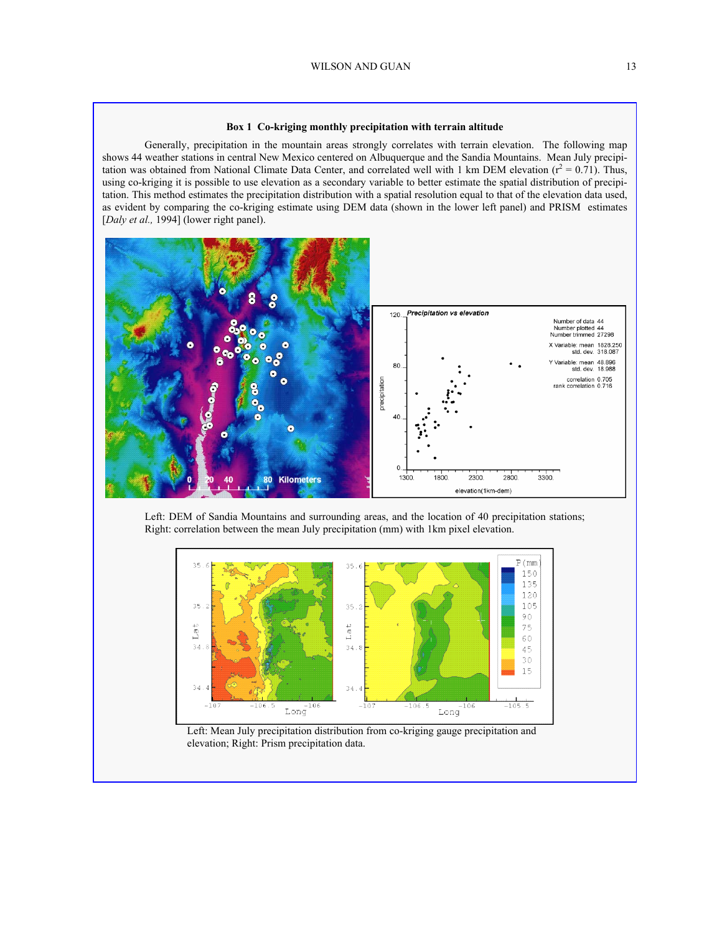#### **Box 1 Co-kriging monthly precipitation with terrain altitude**

 Generally, precipitation in the mountain areas strongly correlates with terrain elevation. The following map shows 44 weather stations in central New Mexico centered on Albuquerque and the Sandia Mountains. Mean July precipitation was obtained from National Climate Data Center, and correlated well with 1 km DEM elevation  $(r^2 = 0.71)$ . Thus, using co-kriging it is possible to use elevation as a secondary variable to better estimate the spatial distribution of precipitation. This method estimates the precipitation distribution with a spatial resolution equal to that of the elevation data used, as evident by comparing the co-kriging estimate using DEM data (shown in the lower left panel) and PRISM estimates [*Daly et al.,* 1994] (lower right panel).



Left: DEM of Sandia Mountains and surrounding areas, and the location of 40 precipitation stations; Right: correlation between the mean July precipitation (mm) with 1km pixel elevation.



Left: Mean July precipitation distribution from co-kriging gauge precipitation and elevation; Right: Prism precipitation data.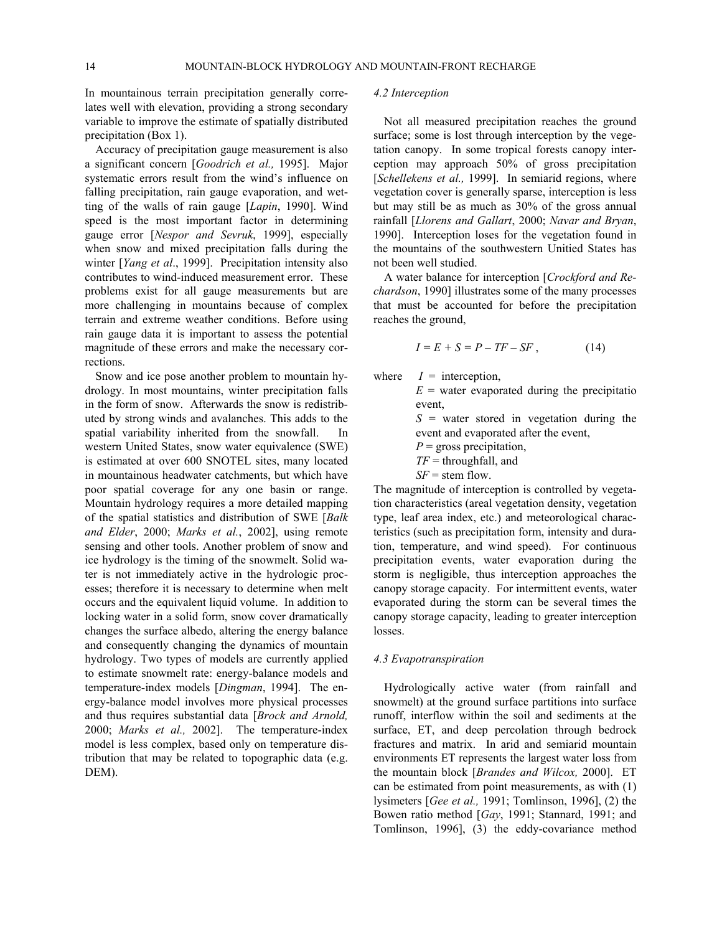In mountainous terrain precipitation generally correlates well with elevation, providing a strong secondary variable to improve the estimate of spatially distributed precipitation (Box 1).

Accuracy of precipitation gauge measurement is also a significant concern [*Goodrich et al.,* 1995]. Major systematic errors result from the wind's influence on falling precipitation, rain gauge evaporation, and wetting of the walls of rain gauge [*Lapin*, 1990]. Wind speed is the most important factor in determining gauge error [*Nespor and Sevruk*, 1999], especially when snow and mixed precipitation falls during the winter [*Yang et al*., 1999]. Precipitation intensity also contributes to wind-induced measurement error. These problems exist for all gauge measurements but are more challenging in mountains because of complex terrain and extreme weather conditions. Before using rain gauge data it is important to assess the potential magnitude of these errors and make the necessary corrections.

Snow and ice pose another problem to mountain hydrology. In most mountains, winter precipitation falls in the form of snow. Afterwards the snow is redistributed by strong winds and avalanches. This adds to the spatial variability inherited from the snowfall. In western United States, snow water equivalence (SWE) is estimated at over 600 SNOTEL sites, many located in mountainous headwater catchments, but which have poor spatial coverage for any one basin or range. Mountain hydrology requires a more detailed mapping of the spatial statistics and distribution of SWE [*Balk and Elder*, 2000; *Marks et al.*, 2002], using remote sensing and other tools. Another problem of snow and ice hydrology is the timing of the snowmelt. Solid water is not immediately active in the hydrologic processes; therefore it is necessary to determine when melt occurs and the equivalent liquid volume. In addition to locking water in a solid form, snow cover dramatically changes the surface albedo, altering the energy balance and consequently changing the dynamics of mountain hydrology. Two types of models are currently applied to estimate snowmelt rate: energy-balance models and temperature-index models [*Dingman*, 1994]. The energy-balance model involves more physical processes and thus requires substantial data [*Brock and Arnold,* 2000; *Marks et al.,* 2002]. The temperature-index model is less complex, based only on temperature distribution that may be related to topographic data (e.g. DEM).

#### *4.2 Interception*

Not all measured precipitation reaches the ground surface; some is lost through interception by the vegetation canopy. In some tropical forests canopy interception may approach 50% of gross precipitation [*Schellekens et al.,* 1999]. In semiarid regions, where vegetation cover is generally sparse, interception is less but may still be as much as 30% of the gross annual rainfall [*Llorens and Gallart*, 2000; *Navar and Bryan*, 1990]. Interception loses for the vegetation found in the mountains of the southwestern Unitied States has not been well studied.

A water balance for interception [*Crockford and Rechardson*, 1990] illustrates some of the many processes that must be accounted for before the precipitation reaches the ground,

$$
I = E + S = P - TF - SF, \qquad (14)
$$

where  $I =$  interception,

 $E =$  water evaporated during the precipitatio event,  $S =$  water stored in vegetation during the event and evaporated after the event,

*P* = gross precipitation,

*TF* = throughfall, and

*SF* = stem flow.

The magnitude of interception is controlled by vegetation characteristics (areal vegetation density, vegetation type, leaf area index, etc.) and meteorological characteristics (such as precipitation form, intensity and duration, temperature, and wind speed). For continuous precipitation events, water evaporation during the storm is negligible, thus interception approaches the canopy storage capacity. For intermittent events, water evaporated during the storm can be several times the canopy storage capacity, leading to greater interception losses.

## *4.3 Evapotranspiration*

Hydrologically active water (from rainfall and snowmelt) at the ground surface partitions into surface runoff, interflow within the soil and sediments at the surface, ET, and deep percolation through bedrock fractures and matrix. In arid and semiarid mountain environments ET represents the largest water loss from the mountain block [*Brandes and Wilcox,* 2000]. ET can be estimated from point measurements, as with (1) lysimeters [*Gee et al.,* 1991; Tomlinson, 1996], (2) the Bowen ratio method [*Gay*, 1991; Stannard, 1991; and Tomlinson, 1996], (3) the eddy-covariance method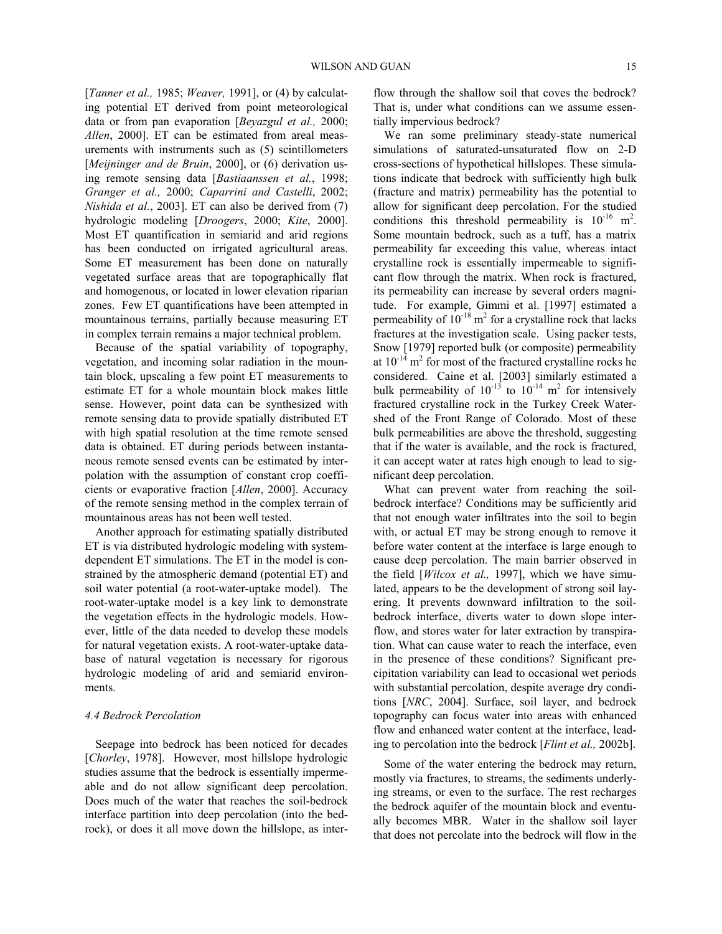[*Tanner et al.,* 1985; *Weaver,* 1991], or (4) by calculating potential ET derived from point meteorological data or from pan evaporation [*Beyazgul et al.,* 2000; *Allen*, 2000]. ET can be estimated from areal measurements with instruments such as (5) scintillometers [*Meijninger and de Bruin*, 2000], or (6) derivation using remote sensing data [*Bastiaanssen et al.*, 1998; *Granger et al.,* 2000; *Caparrini and Castelli*, 2002; *Nishida et al.*, 2003]. ET can also be derived from (7) hydrologic modeling [*Droogers*, 2000; *Kite*, 2000]. Most ET quantification in semiarid and arid regions has been conducted on irrigated agricultural areas. Some ET measurement has been done on naturally vegetated surface areas that are topographically flat and homogenous, or located in lower elevation riparian zones. Few ET quantifications have been attempted in mountainous terrains, partially because measuring ET in complex terrain remains a major technical problem.

Because of the spatial variability of topography, vegetation, and incoming solar radiation in the mountain block, upscaling a few point ET measurements to estimate ET for a whole mountain block makes little sense. However, point data can be synthesized with remote sensing data to provide spatially distributed ET with high spatial resolution at the time remote sensed data is obtained. ET during periods between instantaneous remote sensed events can be estimated by interpolation with the assumption of constant crop coefficients or evaporative fraction [*Allen*, 2000]. Accuracy of the remote sensing method in the complex terrain of mountainous areas has not been well tested.

Another approach for estimating spatially distributed ET is via distributed hydrologic modeling with systemdependent ET simulations. The ET in the model is constrained by the atmospheric demand (potential ET) and soil water potential (a root-water-uptake model). The root-water-uptake model is a key link to demonstrate the vegetation effects in the hydrologic models. However, little of the data needed to develop these models for natural vegetation exists. A root-water-uptake database of natural vegetation is necessary for rigorous hydrologic modeling of arid and semiarid environments.

## *4.4 Bedrock Percolation*

Seepage into bedrock has been noticed for decades [*Chorley*, 1978]. However, most hillslope hydrologic studies assume that the bedrock is essentially impermeable and do not allow significant deep percolation. Does much of the water that reaches the soil-bedrock interface partition into deep percolation (into the bedrock), or does it all move down the hillslope, as interflow through the shallow soil that coves the bedrock? That is, under what conditions can we assume essentially impervious bedrock?

We ran some preliminary steady-state numerical simulations of saturated-unsaturated flow on 2-D cross-sections of hypothetical hillslopes. These simulations indicate that bedrock with sufficiently high bulk (fracture and matrix) permeability has the potential to allow for significant deep percolation. For the studied conditions this threshold permeability is  $10^{-16}$  m<sup>2</sup>. Some mountain bedrock, such as a tuff, has a matrix permeability far exceeding this value, whereas intact crystalline rock is essentially impermeable to significant flow through the matrix. When rock is fractured, its permeability can increase by several orders magnitude. For example, Gimmi et al. [1997] estimated a permeability of  $10^{-18}$  m<sup>2</sup> for a crystalline rock that lacks fractures at the investigation scale. Using packer tests, Snow [1979] reported bulk (or composite) permeability at  $10^{-14}$  m<sup>2</sup> for most of the fractured crystalline rocks he considered. Caine et al. [2003] similarly estimated a bulk permeability of  $10^{-13}$  to  $10^{-14}$  m<sup>2</sup> for intensively fractured crystalline rock in the Turkey Creek Watershed of the Front Range of Colorado. Most of these bulk permeabilities are above the threshold, suggesting that if the water is available, and the rock is fractured, it can accept water at rates high enough to lead to significant deep percolation.

What can prevent water from reaching the soilbedrock interface? Conditions may be sufficiently arid that not enough water infiltrates into the soil to begin with, or actual ET may be strong enough to remove it before water content at the interface is large enough to cause deep percolation. The main barrier observed in the field [*Wilcox et al.,* 1997], which we have simulated, appears to be the development of strong soil layering. It prevents downward infiltration to the soilbedrock interface, diverts water to down slope interflow, and stores water for later extraction by transpiration. What can cause water to reach the interface, even in the presence of these conditions? Significant precipitation variability can lead to occasional wet periods with substantial percolation, despite average dry conditions [*NRC*, 2004]. Surface, soil layer, and bedrock topography can focus water into areas with enhanced flow and enhanced water content at the interface, leading to percolation into the bedrock [*Flint et al.,* 2002b].

Some of the water entering the bedrock may return, mostly via fractures, to streams, the sediments underlying streams, or even to the surface. The rest recharges the bedrock aquifer of the mountain block and eventually becomes MBR. Water in the shallow soil layer that does not percolate into the bedrock will flow in the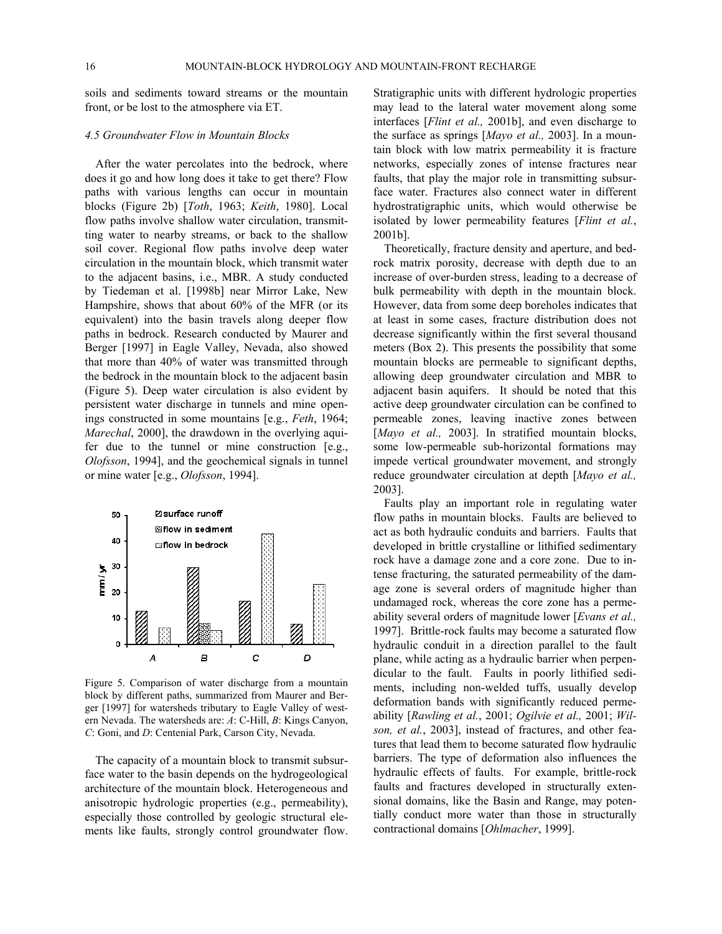soils and sediments toward streams or the mountain front, or be lost to the atmosphere via ET.

#### *4.5 Groundwater Flow in Mountain Blocks*

After the water percolates into the bedrock, where does it go and how long does it take to get there? Flow paths with various lengths can occur in mountain blocks (Figure 2b) [*Toth*, 1963; *Keith*, 1980]. Local flow paths involve shallow water circulation, transmitting water to nearby streams, or back to the shallow soil cover. Regional flow paths involve deep water circulation in the mountain block, which transmit water to the adjacent basins, i.e., MBR. A study conducted by Tiedeman et al. [1998b] near Mirror Lake, New Hampshire, shows that about 60% of the MFR (or its equivalent) into the basin travels along deeper flow paths in bedrock. Research conducted by Maurer and Berger [1997] in Eagle Valley, Nevada, also showed that more than 40% of water was transmitted through the bedrock in the mountain block to the adjacent basin (Figure 5). Deep water circulation is also evident by persistent water discharge in tunnels and mine openings constructed in some mountains [e.g., *Feth*, 1964; *Marechal*, 2000], the drawdown in the overlying aquifer due to the tunnel or mine construction [e.g., *Olofsson*, 1994], and the geochemical signals in tunnel or mine water [e.g., *Olofsson*, 1994].



Figure 5. Comparison of water discharge from a mountain block by different paths, summarized from Maurer and Berger [1997] for watersheds tributary to Eagle Valley of western Nevada. The watersheds are: *A*: C-Hill, *B*: Kings Canyon, *C*: Goni, and *D*: Centenial Park, Carson City, Nevada.

The capacity of a mountain block to transmit subsurface water to the basin depends on the hydrogeological architecture of the mountain block. Heterogeneous and anisotropic hydrologic properties (e.g., permeability), especially those controlled by geologic structural elements like faults, strongly control groundwater flow.

Stratigraphic units with different hydrologic properties may lead to the lateral water movement along some interfaces [*Flint et al.,* 2001b], and even discharge to the surface as springs [*Mayo et al.,* 2003]. In a mountain block with low matrix permeability it is fracture networks, especially zones of intense fractures near faults, that play the major role in transmitting subsurface water. Fractures also connect water in different hydrostratigraphic units, which would otherwise be isolated by lower permeability features [*Flint et al.*, 2001b].

Theoretically, fracture density and aperture, and bedrock matrix porosity, decrease with depth due to an increase of over-burden stress, leading to a decrease of bulk permeability with depth in the mountain block. However, data from some deep boreholes indicates that at least in some cases, fracture distribution does not decrease significantly within the first several thousand meters (Box 2). This presents the possibility that some mountain blocks are permeable to significant depths, allowing deep groundwater circulation and MBR to adjacent basin aquifers. It should be noted that this active deep groundwater circulation can be confined to permeable zones, leaving inactive zones between [Mayo et al., 2003]. In stratified mountain blocks, some low-permeable sub-horizontal formations may impede vertical groundwater movement, and strongly reduce groundwater circulation at depth [*Mayo et al.,* 2003].

Faults play an important role in regulating water flow paths in mountain blocks. Faults are believed to act as both hydraulic conduits and barriers. Faults that developed in brittle crystalline or lithified sedimentary rock have a damage zone and a core zone. Due to intense fracturing, the saturated permeability of the damage zone is several orders of magnitude higher than undamaged rock, whereas the core zone has a permeability several orders of magnitude lower [*Evans et al.,*  1997]. Brittle-rock faults may become a saturated flow hydraulic conduit in a direction parallel to the fault plane, while acting as a hydraulic barrier when perpendicular to the fault. Faults in poorly lithified sediments, including non-welded tuffs, usually develop deformation bands with significantly reduced permeability [*Rawling et al.*, 2001; *Ogilvie et al.,* 2001; *Wilson, et al.*, 2003], instead of fractures, and other features that lead them to become saturated flow hydraulic barriers. The type of deformation also influences the hydraulic effects of faults. For example, brittle-rock faults and fractures developed in structurally extensional domains, like the Basin and Range, may potentially conduct more water than those in structurally contractional domains [*Ohlmacher*, 1999].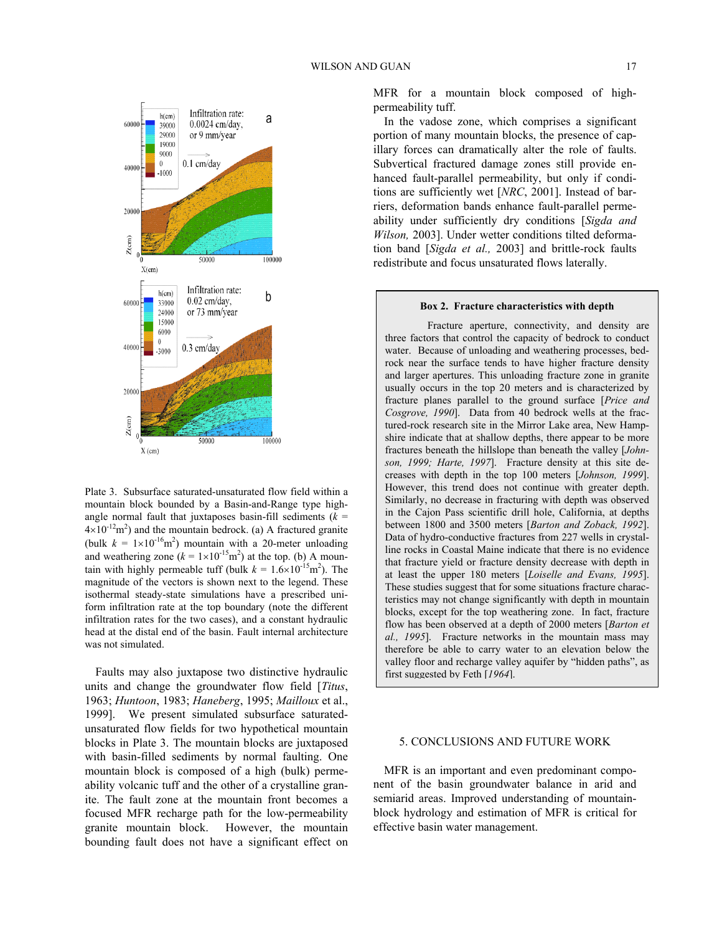

Plate 3. Subsurface saturated-unsaturated flow field within a mountain block bounded by a Basin-and-Range type highangle normal fault that juxtaposes basin-fill sediments  $(k =$  $4 \times 10^{-12}$ m<sup>2</sup>) and the mountain bedrock. (a) A fractured granite (bulk  $k = 1 \times 10^{-16}$ m<sup>2</sup>) mountain with a 20-meter unloading and weathering zone  $(k = 1 \times 10^{-15} \text{m}^2)$  at the top. (b) A mountain with highly permeable tuff (bulk  $k = 1.6 \times 10^{-15}$  m<sup>2</sup>). The magnitude of the vectors is shown next to the legend. These isothermal steady-state simulations have a prescribed uniform infiltration rate at the top boundary (note the different infiltration rates for the two cases), and a constant hydraulic head at the distal end of the basin. Fault internal architecture was not simulated.

Faults may also juxtapose two distinctive hydraulic units and change the groundwater flow field [*Titus*, 1963; *Huntoon*, 1983; *Haneberg*, 1995; *Mailloux* et al., 1999]. We present simulated subsurface saturatedunsaturated flow fields for two hypothetical mountain blocks in Plate 3. The mountain blocks are juxtaposed with basin-filled sediments by normal faulting. One mountain block is composed of a high (bulk) permeability volcanic tuff and the other of a crystalline granite. The fault zone at the mountain front becomes a focused MFR recharge path for the low-permeability granite mountain block. However, the mountain bounding fault does not have a significant effect on MFR for a mountain block composed of highpermeability tuff.

In the vadose zone, which comprises a significant portion of many mountain blocks, the presence of capillary forces can dramatically alter the role of faults. Subvertical fractured damage zones still provide enhanced fault-parallel permeability, but only if conditions are sufficiently wet [*NRC*, 2001]. Instead of barriers, deformation bands enhance fault-parallel permeability under sufficiently dry conditions [*Sigda and Wilson,* 2003]. Under wetter conditions tilted deformation band [*Sigda et al.,* 2003] and brittle-rock faults redistribute and focus unsaturated flows laterally.

#### **Box 2. Fracture characteristics with depth**

Fracture aperture, connectivity, and density are three factors that control the capacity of bedrock to conduct water. Because of unloading and weathering processes, bedrock near the surface tends to have higher fracture density and larger apertures. This unloading fracture zone in granite usually occurs in the top 20 meters and is characterized by fracture planes parallel to the ground surface [*Price and Cosgrove, 1990*]. Data from 40 bedrock wells at the fractured-rock research site in the Mirror Lake area, New Hampshire indicate that at shallow depths, there appear to be more fractures beneath the hillslope than beneath the valley [*Johnson, 1999; Harte, 1997*]. Fracture density at this site decreases with depth in the top 100 meters [*Johnson, 1999*]. However, this trend does not continue with greater depth. Similarly, no decrease in fracturing with depth was observed in the Cajon Pass scientific drill hole, California, at depths between 1800 and 3500 meters [*Barton and Zoback, 1992*]. Data of hydro-conductive fractures from 227 wells in crystalline rocks in Coastal Maine indicate that there is no evidence that fracture yield or fracture density decrease with depth in at least the upper 180 meters [*Loiselle and Evans, 1995*]. These studies suggest that for some situations fracture characteristics may not change significantly with depth in mountain blocks, except for the top weathering zone. In fact, fracture flow has been observed at a depth of 2000 meters [*Barton et al., 1995*]. Fracture networks in the mountain mass may therefore be able to carry water to an elevation below the valley floor and recharge valley aquifer by "hidden paths", as first suggested by Feth [*1964*].

### 5. CONCLUSIONS AND FUTURE WORK

MFR is an important and even predominant component of the basin groundwater balance in arid and semiarid areas. Improved understanding of mountainblock hydrology and estimation of MFR is critical for effective basin water management.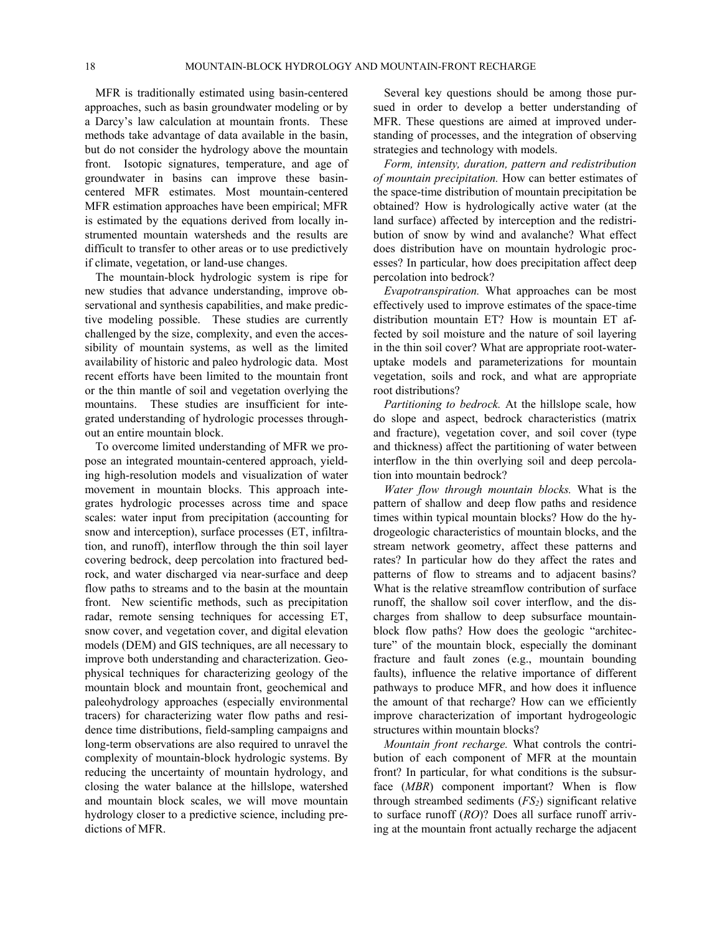MFR is traditionally estimated using basin-centered approaches, such as basin groundwater modeling or by a Darcy's law calculation at mountain fronts. These methods take advantage of data available in the basin, but do not consider the hydrology above the mountain front. Isotopic signatures, temperature, and age of groundwater in basins can improve these basincentered MFR estimates. Most mountain-centered MFR estimation approaches have been empirical; MFR is estimated by the equations derived from locally instrumented mountain watersheds and the results are difficult to transfer to other areas or to use predictively if climate, vegetation, or land-use changes.

The mountain-block hydrologic system is ripe for new studies that advance understanding, improve observational and synthesis capabilities, and make predictive modeling possible. These studies are currently challenged by the size, complexity, and even the accessibility of mountain systems, as well as the limited availability of historic and paleo hydrologic data. Most recent efforts have been limited to the mountain front or the thin mantle of soil and vegetation overlying the mountains. These studies are insufficient for integrated understanding of hydrologic processes throughout an entire mountain block.

To overcome limited understanding of MFR we propose an integrated mountain-centered approach, yielding high-resolution models and visualization of water movement in mountain blocks. This approach integrates hydrologic processes across time and space scales: water input from precipitation (accounting for snow and interception), surface processes (ET, infiltration, and runoff), interflow through the thin soil layer covering bedrock, deep percolation into fractured bedrock, and water discharged via near-surface and deep flow paths to streams and to the basin at the mountain front. New scientific methods, such as precipitation radar, remote sensing techniques for accessing ET, snow cover, and vegetation cover, and digital elevation models (DEM) and GIS techniques, are all necessary to improve both understanding and characterization. Geophysical techniques for characterizing geology of the mountain block and mountain front, geochemical and paleohydrology approaches (especially environmental tracers) for characterizing water flow paths and residence time distributions, field-sampling campaigns and long-term observations are also required to unravel the complexity of mountain-block hydrologic systems. By reducing the uncertainty of mountain hydrology, and closing the water balance at the hillslope, watershed and mountain block scales, we will move mountain hydrology closer to a predictive science, including predictions of MFR.

Several key questions should be among those pursued in order to develop a better understanding of MFR. These questions are aimed at improved understanding of processes, and the integration of observing strategies and technology with models.

*Form, intensity, duration, pattern and redistribution of mountain precipitation.* How can better estimates of the space-time distribution of mountain precipitation be obtained? How is hydrologically active water (at the land surface) affected by interception and the redistribution of snow by wind and avalanche? What effect does distribution have on mountain hydrologic processes? In particular, how does precipitation affect deep percolation into bedrock?

*Evapotranspiration.* What approaches can be most effectively used to improve estimates of the space-time distribution mountain ET? How is mountain ET affected by soil moisture and the nature of soil layering in the thin soil cover? What are appropriate root-wateruptake models and parameterizations for mountain vegetation, soils and rock, and what are appropriate root distributions?

*Partitioning to bedrock.* At the hillslope scale, how do slope and aspect, bedrock characteristics (matrix and fracture), vegetation cover, and soil cover (type and thickness) affect the partitioning of water between interflow in the thin overlying soil and deep percolation into mountain bedrock?

*Water flow through mountain blocks.* What is the pattern of shallow and deep flow paths and residence times within typical mountain blocks? How do the hydrogeologic characteristics of mountain blocks, and the stream network geometry, affect these patterns and rates? In particular how do they affect the rates and patterns of flow to streams and to adjacent basins? What is the relative streamflow contribution of surface runoff, the shallow soil cover interflow, and the discharges from shallow to deep subsurface mountainblock flow paths? How does the geologic "architecture" of the mountain block, especially the dominant fracture and fault zones (e.g., mountain bounding faults), influence the relative importance of different pathways to produce MFR, and how does it influence the amount of that recharge? How can we efficiently improve characterization of important hydrogeologic structures within mountain blocks?

*Mountain front recharge.* What controls the contribution of each component of MFR at the mountain front? In particular, for what conditions is the subsurface (*MBR*) component important? When is flow through streambed sediments (*FS2*) significant relative to surface runoff (*RO*)? Does all surface runoff arriving at the mountain front actually recharge the adjacent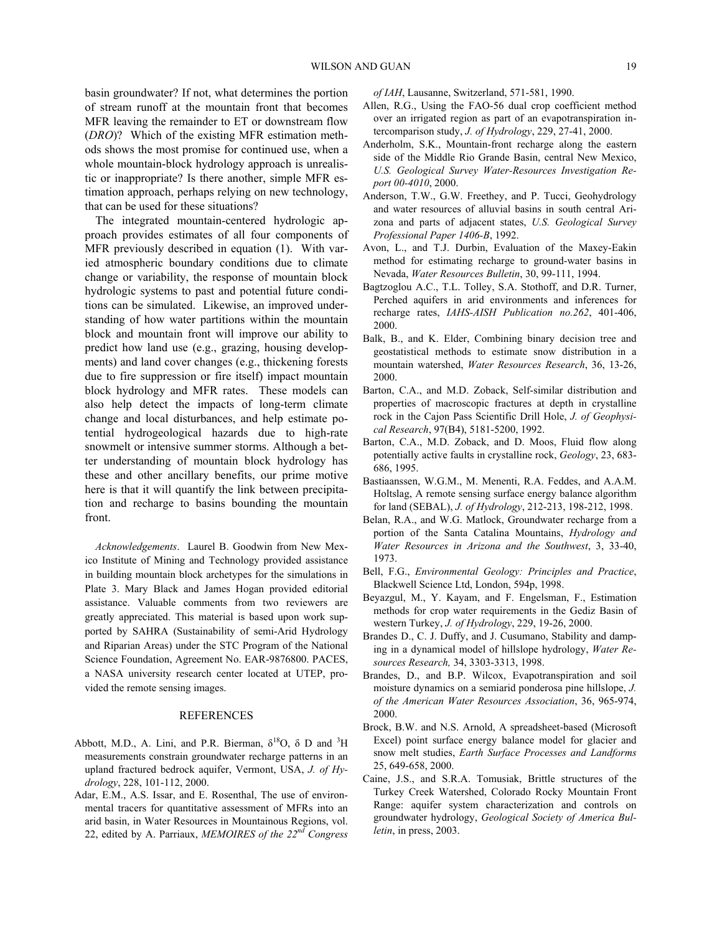basin groundwater? If not, what determines the portion of stream runoff at the mountain front that becomes MFR leaving the remainder to ET or downstream flow (*DRO*)? Which of the existing MFR estimation methods shows the most promise for continued use, when a whole mountain-block hydrology approach is unrealistic or inappropriate? Is there another, simple MFR estimation approach, perhaps relying on new technology, that can be used for these situations?

The integrated mountain-centered hydrologic approach provides estimates of all four components of MFR previously described in equation (1). With varied atmospheric boundary conditions due to climate change or variability, the response of mountain block hydrologic systems to past and potential future conditions can be simulated. Likewise, an improved understanding of how water partitions within the mountain block and mountain front will improve our ability to predict how land use (e.g., grazing, housing developments) and land cover changes (e.g., thickening forests due to fire suppression or fire itself) impact mountain block hydrology and MFR rates. These models can also help detect the impacts of long-term climate change and local disturbances, and help estimate potential hydrogeological hazards due to high-rate snowmelt or intensive summer storms. Although a better understanding of mountain block hydrology has these and other ancillary benefits, our prime motive here is that it will quantify the link between precipitation and recharge to basins bounding the mountain front.

*Acknowledgements*. Laurel B. Goodwin from New Mexico Institute of Mining and Technology provided assistance in building mountain block archetypes for the simulations in Plate 3. Mary Black and James Hogan provided editorial assistance. Valuable comments from two reviewers are greatly appreciated. This material is based upon work supported by SAHRA (Sustainability of semi-Arid Hydrology and Riparian Areas) under the STC Program of the National Science Foundation, Agreement No. EAR-9876800. PACES, a NASA university research center located at UTEP, provided the remote sensing images.

#### REFERENCES

- Abbott, M.D., A. Lini, and P.R. Bierman,  $\delta^{18}O$ ,  $\delta$  D and <sup>3</sup>H measurements constrain groundwater recharge patterns in an upland fractured bedrock aquifer, Vermont, USA, *J. of Hydrology*, 228, 101-112, 2000.
- Adar, E.M., A.S. Issar, and E. Rosenthal, The use of environmental tracers for quantitative assessment of MFRs into an arid basin, in Water Resources in Mountainous Regions, vol. 22, edited by A. Parriaux, *MEMOIRES of the 22nd Congress*

*of IAH*, Lausanne, Switzerland, 571-581, 1990.

- Allen, R.G., Using the FAO-56 dual crop coefficient method over an irrigated region as part of an evapotranspiration intercomparison study, *J. of Hydrology*, 229, 27-41, 2000.
- Anderholm, S.K., Mountain-front recharge along the eastern side of the Middle Rio Grande Basin, central New Mexico, *U.S. Geological Survey Water-Resources Investigation Report 00-4010*, 2000.
- Anderson, T.W., G.W. Freethey, and P. Tucci, Geohydrology and water resources of alluvial basins in south central Arizona and parts of adjacent states, *U.S. Geological Survey Professional Paper 1406-B*, 1992.
- Avon, L., and T.J. Durbin, Evaluation of the Maxey-Eakin method for estimating recharge to ground-water basins in Nevada, *Water Resources Bulletin*, 30, 99-111, 1994.
- Bagtzoglou A.C., T.L. Tolley, S.A. Stothoff, and D.R. Turner, Perched aquifers in arid environments and inferences for recharge rates, *IAHS-AISH Publication no.262*, 401-406, 2000.
- Balk, B., and K. Elder, Combining binary decision tree and geostatistical methods to estimate snow distribution in a mountain watershed, *Water Resources Research*, 36, 13-26, 2000.
- Barton, C.A., and M.D. Zoback, Self-similar distribution and properties of macroscopic fractures at depth in crystalline rock in the Cajon Pass Scientific Drill Hole, *J. of Geophysical Research*, 97(B4), 5181-5200, 1992.
- Barton, C.A., M.D. Zoback, and D. Moos, Fluid flow along potentially active faults in crystalline rock, *Geology*, 23, 683- 686, 1995.
- Bastiaanssen, W.G.M., M. Menenti, R.A. Feddes, and A.A.M. Holtslag, A remote sensing surface energy balance algorithm for land (SEBAL), *J. of Hydrology*, 212-213, 198-212, 1998.
- Belan, R.A., and W.G. Matlock, Groundwater recharge from a portion of the Santa Catalina Mountains, *Hydrology and Water Resources in Arizona and the Southwest*, 3, 33-40, 1973.
- Bell, F.G., *Environmental Geology: Principles and Practice*, Blackwell Science Ltd, London, 594p, 1998.
- Beyazgul, M., Y. Kayam, and F. Engelsman, F., Estimation methods for crop water requirements in the Gediz Basin of western Turkey, *J. of Hydrology*, 229, 19-26, 2000.
- Brandes D., C. J. Duffy, and J. Cusumano, Stability and damping in a dynamical model of hillslope hydrology, *Water Resources Research,* 34, 3303-3313, 1998.
- Brandes, D., and B.P. Wilcox, Evapotranspiration and soil moisture dynamics on a semiarid ponderosa pine hillslope, *J. of the American Water Resources Association*, 36, 965-974, 2000.
- Brock, B.W. and N.S. Arnold, A spreadsheet-based (Microsoft Excel) point surface energy balance model for glacier and snow melt studies, *Earth Surface Processes and Landforms* 25, 649-658, 2000.
- Caine, J.S., and S.R.A. Tomusiak, Brittle structures of the Turkey Creek Watershed, Colorado Rocky Mountain Front Range: aquifer system characterization and controls on groundwater hydrology, *Geological Society of America Bulletin*, in press, 2003.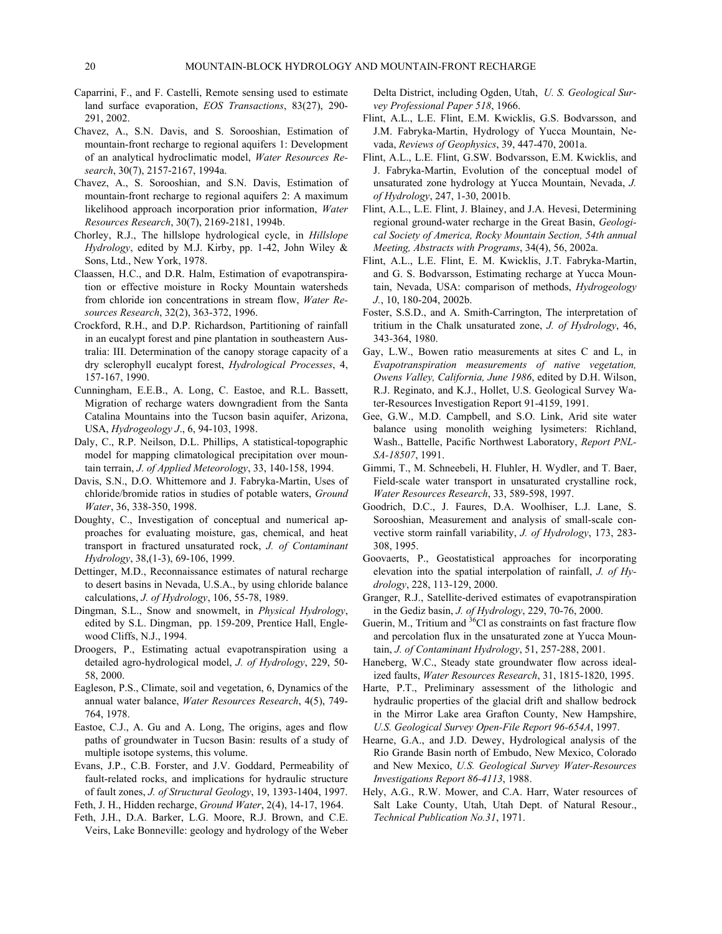- Caparrini, F., and F. Castelli, Remote sensing used to estimate land surface evaporation, *EOS Transactions*, 83(27), 290- 291, 2002.
- Chavez, A., S.N. Davis, and S. Sorooshian, Estimation of mountain-front recharge to regional aquifers 1: Development of an analytical hydroclimatic model, *Water Resources Research*, 30(7), 2157-2167, 1994a.
- Chavez, A., S. Sorooshian, and S.N. Davis, Estimation of mountain-front recharge to regional aquifers 2: A maximum likelihood approach incorporation prior information, *Water Resources Research*, 30(7), 2169-2181, 1994b.
- Chorley, R.J., The hillslope hydrological cycle, in *Hillslope Hydrology*, edited by M.J. Kirby, pp. 1-42, John Wiley & Sons, Ltd., New York, 1978.
- Claassen, H.C., and D.R. Halm, Estimation of evapotranspiration or effective moisture in Rocky Mountain watersheds from chloride ion concentrations in stream flow, *Water Resources Research*, 32(2), 363-372, 1996.
- Crockford, R.H., and D.P. Richardson, Partitioning of rainfall in an eucalypt forest and pine plantation in southeastern Australia: III. Determination of the canopy storage capacity of a dry sclerophyll eucalypt forest, *Hydrological Processes*, 4, 157-167, 1990.
- Cunningham, E.E.B., A. Long, C. Eastoe, and R.L. Bassett, Migration of recharge waters downgradient from the Santa Catalina Mountains into the Tucson basin aquifer, Arizona, USA, *Hydrogeology J*., 6, 94-103, 1998.
- Daly, C., R.P. Neilson, D.L. Phillips, A statistical-topographic model for mapping climatological precipitation over mountain terrain, *J. of Applied Meteorology*, 33, 140-158, 1994.
- Davis, S.N., D.O. Whittemore and J. Fabryka-Martin, Uses of chloride/bromide ratios in studies of potable waters, *Ground Water*, 36, 338-350, 1998.
- Doughty, C., Investigation of conceptual and numerical approaches for evaluating moisture, gas, chemical, and heat transport in fractured unsaturated rock, *J. of Contaminant Hydrology*, 38,(1-3), 69-106, 1999.
- Dettinger, M.D., Reconnaissance estimates of natural recharge to desert basins in Nevada, U.S.A., by using chloride balance calculations, *J. of Hydrology*, 106, 55-78, 1989.
- Dingman, S.L., Snow and snowmelt, in *Physical Hydrology*, edited by S.L. Dingman, pp. 159-209, Prentice Hall, Englewood Cliffs, N.J., 1994.
- Droogers, P., Estimating actual evapotranspiration using a detailed agro-hydrological model, *J. of Hydrology*, 229, 50- 58, 2000.
- Eagleson, P.S., Climate, soil and vegetation, 6, Dynamics of the annual water balance, *Water Resources Research*, 4(5), 749- 764, 1978.
- Eastoe, C.J., A. Gu and A. Long, The origins, ages and flow paths of groundwater in Tucson Basin: results of a study of multiple isotope systems, this volume.
- Evans, J.P., C.B. Forster, and J.V. Goddard, Permeability of fault-related rocks, and implications for hydraulic structure of fault zones, *J. of Structural Geology*, 19, 1393-1404, 1997.

Feth, J. H., Hidden recharge, *Ground Water*, 2(4), 14-17, 1964.

Feth, J.H., D.A. Barker, L.G. Moore, R.J. Brown, and C.E. Veirs, Lake Bonneville: geology and hydrology of the Weber Delta District, including Ogden, Utah, *U. S. Geological Survey Professional Paper 518*, 1966.

- Flint, A.L., L.E. Flint, E.M. Kwicklis, G.S. Bodvarsson, and J.M. Fabryka-Martin, Hydrology of Yucca Mountain, Nevada, *Reviews of Geophysics*, 39, 447-470, 2001a.
- Flint, A.L., L.E. Flint, G.SW. Bodvarsson, E.M. Kwicklis, and J. Fabryka-Martin, Evolution of the conceptual model of unsaturated zone hydrology at Yucca Mountain, Nevada, *J. of Hydrology*, 247, 1-30, 2001b.
- Flint, A.L., L.E. Flint, J. Blainey, and J.A. Hevesi, Determining regional ground-water recharge in the Great Basin, *Geological Society of America, Rocky Mountain Section, 54th annual Meeting, Abstracts with Programs*, 34(4), 56, 2002a.
- Flint, A.L., L.E. Flint, E. M. Kwicklis, J.T. Fabryka-Martin, and G. S. Bodvarsson, Estimating recharge at Yucca Mountain, Nevada, USA: comparison of methods, *Hydrogeology J.*, 10, 180-204, 2002b.
- Foster, S.S.D., and A. Smith-Carrington, The interpretation of tritium in the Chalk unsaturated zone, *J. of Hydrology*, 46, 343-364, 1980.
- Gay, L.W., Bowen ratio measurements at sites C and L, in *Evapotranspiration measurements of native vegetation, Owens Valley, California, June 1986*, edited by D.H. Wilson, R.J. Reginato, and K.J., Hollet, U.S. Geological Survey Water-Resources Investigation Report 91-4159, 1991.
- Gee, G.W., M.D. Campbell, and S.O. Link, Arid site water balance using monolith weighing lysimeters: Richland, Wash., Battelle, Pacific Northwest Laboratory, *Report PNL-SA-18507*, 1991.
- Gimmi, T., M. Schneebeli, H. Fluhler, H. Wydler, and T. Baer, Field-scale water transport in unsaturated crystalline rock, *Water Resources Research*, 33, 589-598, 1997.
- Goodrich, D.C., J. Faures, D.A. Woolhiser, L.J. Lane, S. Sorooshian, Measurement and analysis of small-scale convective storm rainfall variability, *J. of Hydrology*, 173, 283- 308, 1995.
- Goovaerts, P., Geostatistical approaches for incorporating elevation into the spatial interpolation of rainfall, *J. of Hydrology*, 228, 113-129, 2000.
- Granger, R.J., Satellite-derived estimates of evapotranspiration in the Gediz basin, *J. of Hydrology*, 229, 70-76, 2000.
- Guerin, M., Tritium and  ${}^{36}$ Cl as constraints on fast fracture flow and percolation flux in the unsaturated zone at Yucca Mountain, *J. of Contaminant Hydrology*, 51, 257-288, 2001.
- Haneberg, W.C., Steady state groundwater flow across idealized faults, *Water Resources Research*, 31, 1815-1820, 1995.
- Harte, P.T., Preliminary assessment of the lithologic and hydraulic properties of the glacial drift and shallow bedrock in the Mirror Lake area Grafton County, New Hampshire, *U.S. Geological Survey Open-File Report 96-654A*, 1997.
- Hearne, G.A., and J.D. Dewey, Hydrological analysis of the Rio Grande Basin north of Embudo, New Mexico, Colorado and New Mexico, *U.S. Geological Survey Water-Resources Investigations Report 86-4113*, 1988.
- Hely, A.G., R.W. Mower, and C.A. Harr, Water resources of Salt Lake County, Utah, Utah Dept. of Natural Resour., *Technical Publication No.31*, 1971.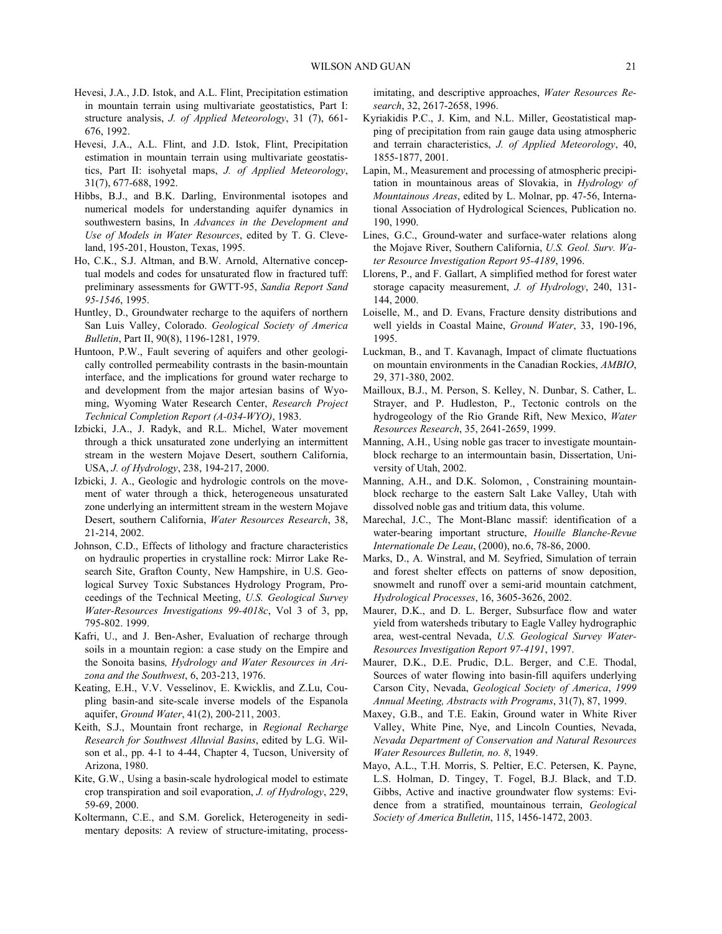- Hevesi, J.A., J.D. Istok, and A.L. Flint, Precipitation estimation in mountain terrain using multivariate geostatistics, Part I: structure analysis, *J. of Applied Meteorology*, 31 (7), 661- 676, 1992.
- Hevesi, J.A., A.L. Flint, and J.D. Istok, Flint, Precipitation estimation in mountain terrain using multivariate geostatistics, Part II: isohyetal maps, *J. of Applied Meteorology*, 31(7), 677-688, 1992.
- Hibbs, B.J., and B.K. Darling, Environmental isotopes and numerical models for understanding aquifer dynamics in southwestern basins, In *Advances in the Development and Use of Models in Water Resources*, edited by T. G. Cleveland, 195-201, Houston, Texas, 1995.
- Ho, C.K., S.J. Altman, and B.W. Arnold, Alternative conceptual models and codes for unsaturated flow in fractured tuff: preliminary assessments for GWTT-95, *Sandia Report Sand 95-1546*, 1995.
- Huntley, D., Groundwater recharge to the aquifers of northern San Luis Valley, Colorado. *Geological Society of America Bulletin*, Part II, 90(8), 1196-1281, 1979.
- Huntoon, P.W., Fault severing of aquifers and other geologically controlled permeability contrasts in the basin-mountain interface, and the implications for ground water recharge to and development from the major artesian basins of Wyoming, Wyoming Water Research Center, *Research Project Technical Completion Report (A-034-WYO)*, 1983.
- Izbicki, J.A., J. Radyk, and R.L. Michel, Water movement through a thick unsaturated zone underlying an intermittent stream in the western Mojave Desert, southern California, USA, *J. of Hydrology*, 238, 194-217, 2000.
- Izbicki, J. A., Geologic and hydrologic controls on the movement of water through a thick, heterogeneous unsaturated zone underlying an intermittent stream in the western Mojave Desert, southern California, *Water Resources Research*, 38, 21-214, 2002.
- Johnson, C.D., Effects of lithology and fracture characteristics on hydraulic properties in crystalline rock: Mirror Lake Research Site, Grafton County, New Hampshire, in U.S. Geological Survey Toxic Substances Hydrology Program, Proceedings of the Technical Meeting, *U.S. Geological Survey Water-Resources Investigations 99-4018c*, Vol 3 of 3, pp, 795-802. 1999.
- Kafri, U., and J. Ben-Asher, Evaluation of recharge through soils in a mountain region: a case study on the Empire and the Sonoita basins*, Hydrology and Water Resources in Arizona and the Southwest*, 6, 203-213, 1976.
- Keating, E.H., V.V. Vesselinov, E. Kwicklis, and Z.Lu, Coupling basin-and site-scale inverse models of the Espanola aquifer, *Ground Water*, 41(2), 200-211, 2003.
- Keith, S.J., Mountain front recharge, in *Regional Recharge Research for Southwest Alluvial Basins*, edited by L.G. Wilson et al., pp. 4-1 to 4-44, Chapter 4, Tucson, University of Arizona, 1980.
- Kite, G.W., Using a basin-scale hydrological model to estimate crop transpiration and soil evaporation, *J. of Hydrology*, 229, 59-69, 2000.
- Koltermann, C.E., and S.M. Gorelick, Heterogeneity in sedimentary deposits: A review of structure-imitating, process-

imitating, and descriptive approaches, *Water Resources Research*, 32, 2617-2658, 1996.

- Kyriakidis P.C., J. Kim, and N.L. Miller, Geostatistical mapping of precipitation from rain gauge data using atmospheric and terrain characteristics, *J. of Applied Meteorology*, 40, 1855-1877, 2001.
- Lapin, M., Measurement and processing of atmospheric precipitation in mountainous areas of Slovakia, in *Hydrology of Mountainous Areas*, edited by L. Molnar, pp. 47-56, International Association of Hydrological Sciences, Publication no. 190, 1990.
- Lines, G.C., Ground-water and surface-water relations along the Mojave River, Southern California, *U.S. Geol. Surv. Water Resource Investigation Report 95-4189*, 1996.
- Llorens, P., and F. Gallart, A simplified method for forest water storage capacity measurement, *J. of Hydrology*, 240, 131- 144, 2000.
- Loiselle, M., and D. Evans, Fracture density distributions and well yields in Coastal Maine, *Ground Water*, 33, 190-196, 1995.
- Luckman, B., and T. Kavanagh, Impact of climate fluctuations on mountain environments in the Canadian Rockies, *AMBIO*, 29, 371-380, 2002.
- Mailloux, B.J., M. Person, S. Kelley, N. Dunbar, S. Cather, L. Strayer, and P. Hudleston, P., Tectonic controls on the hydrogeology of the Rio Grande Rift, New Mexico, *Water Resources Research*, 35, 2641-2659, 1999.
- Manning, A.H., Using noble gas tracer to investigate mountainblock recharge to an intermountain basin, Dissertation, University of Utah, 2002.
- Manning, A.H., and D.K. Solomon, , Constraining mountainblock recharge to the eastern Salt Lake Valley, Utah with dissolved noble gas and tritium data, this volume.
- Marechal, J.C., The Mont-Blanc massif: identification of a water-bearing important structure, *Houille Blanche-Revue Internationale De Leau*, (2000), no.6, 78-86, 2000.
- Marks, D., A. Winstral, and M. Seyfried, Simulation of terrain and forest shelter effects on patterns of snow deposition, snowmelt and runoff over a semi-arid mountain catchment, *Hydrological Processes*, 16, 3605-3626, 2002.
- Maurer, D.K., and D. L. Berger, Subsurface flow and water yield from watersheds tributary to Eagle Valley hydrographic area, west-central Nevada, *U.S. Geological Survey Water-Resources Investigation Report 97-4191*, 1997.
- Maurer, D.K., D.E. Prudic, D.L. Berger, and C.E. Thodal, Sources of water flowing into basin-fill aquifers underlying Carson City, Nevada, *Geological Society of America*, *1999 Annual Meeting, Abstracts with Programs*, 31(7), 87, 1999.
- Maxey, G.B., and T.E. Eakin, Ground water in White River Valley, White Pine, Nye, and Lincoln Counties, Nevada, *Nevada Department of Conservation and Natural Resources Water Resources Bulletin, no. 8*, 1949.
- Mayo, A.L., T.H. Morris, S. Peltier, E.C. Petersen, K. Payne, L.S. Holman, D. Tingey, T. Fogel, B.J. Black, and T.D. Gibbs, Active and inactive groundwater flow systems: Evidence from a stratified, mountainous terrain, *Geological Society of America Bulletin*, 115, 1456-1472, 2003.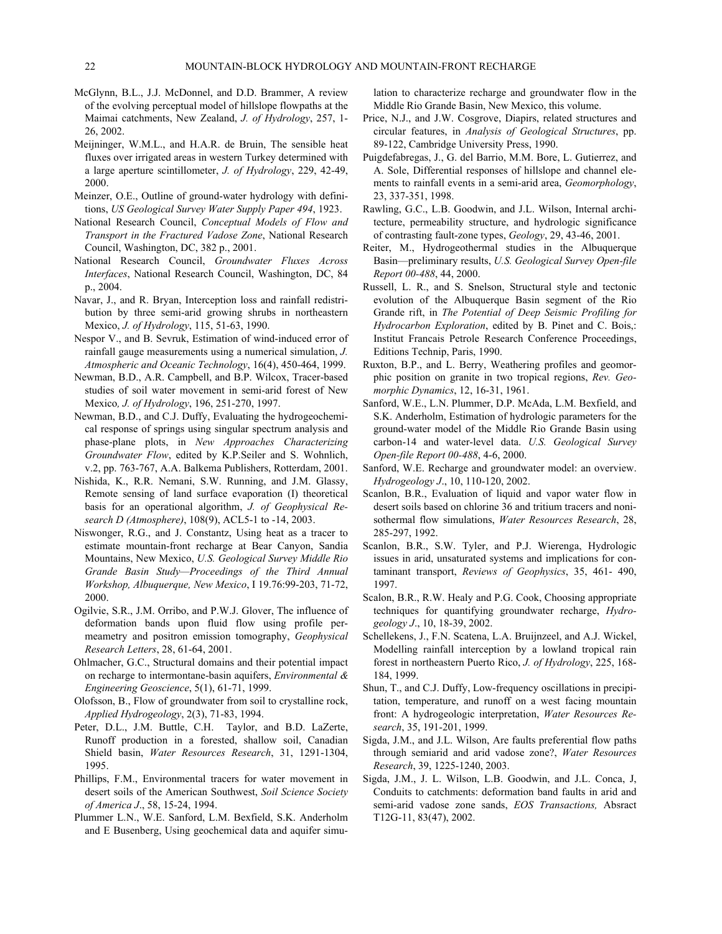- McGlynn, B.L., J.J. McDonnel, and D.D. Brammer, A review of the evolving perceptual model of hillslope flowpaths at the Maimai catchments, New Zealand, *J. of Hydrology*, 257, 1- 26, 2002.
- Meijninger, W.M.L., and H.A.R. de Bruin, The sensible heat fluxes over irrigated areas in western Turkey determined with a large aperture scintillometer, *J. of Hydrology*, 229, 42-49, 2000.
- Meinzer, O.E., Outline of ground-water hydrology with definitions, *US Geological Survey Water Supply Paper 494*, 1923.
- National Research Council, *Conceptual Models of Flow and Transport in the Fractured Vadose Zone*, National Research Council, Washington, DC, 382 p., 2001.
- National Research Council, *Groundwater Fluxes Across Interfaces*, National Research Council, Washington, DC, 84 p., 2004.
- Navar, J., and R. Bryan, Interception loss and rainfall redistribution by three semi-arid growing shrubs in northeastern Mexico, *J. of Hydrology*, 115, 51-63, 1990.
- Nespor V., and B. Sevruk, Estimation of wind-induced error of rainfall gauge measurements using a numerical simulation, *J. Atmospheric and Oceanic Technology*, 16(4), 450-464, 1999.
- Newman, B.D., A.R. Campbell, and B.P. Wilcox, Tracer-based studies of soil water movement in semi-arid forest of New Mexico*, J. of Hydrology*, 196, 251-270, 1997.
- Newman, B.D., and C.J. Duffy, Evaluating the hydrogeochemical response of springs using singular spectrum analysis and phase-plane plots, in *New Approaches Characterizing Groundwater Flow*, edited by K.P.Seiler and S. Wohnlich, v.2, pp. 763-767, A.A. Balkema Publishers, Rotterdam, 2001.
- Nishida, K., R.R. Nemani, S.W. Running, and J.M. Glassy, Remote sensing of land surface evaporation (I) theoretical basis for an operational algorithm, *J. of Geophysical Research D (Atmosphere)*, 108(9), ACL5-1 to -14, 2003.
- Niswonger, R.G., and J. Constantz, Using heat as a tracer to estimate mountain-front recharge at Bear Canyon, Sandia Mountains, New Mexico, *U.S. Geological Survey Middle Rio Grande Basin Study—Proceedings of the Third Annual Workshop, Albuquerque, New Mexico*, I 19.76:99-203, 71-72, 2000.
- Ogilvie, S.R., J.M. Orribo, and P.W.J. Glover, The influence of deformation bands upon fluid flow using profile permeametry and positron emission tomography, *Geophysical Research Letters*, 28, 61-64, 2001.
- Ohlmacher, G.C., Structural domains and their potential impact on recharge to intermontane-basin aquifers, *Environmental & Engineering Geoscience*, 5(1), 61-71, 1999.
- Olofsson, B., Flow of groundwater from soil to crystalline rock, *Applied Hydrogeology*, 2(3), 71-83, 1994.
- Peter, D.L., J.M. Buttle, C.H. Taylor, and B.D. LaZerte, Runoff production in a forested, shallow soil, Canadian Shield basin, *Water Resources Research*, 31, 1291-1304, 1995.
- Phillips, F.M., Environmental tracers for water movement in desert soils of the American Southwest, *Soil Science Society of America J*., 58, 15-24, 1994.
- Plummer L.N., W.E. Sanford, L.M. Bexfield, S.K. Anderholm and E Busenberg, Using geochemical data and aquifer simu-

lation to characterize recharge and groundwater flow in the Middle Rio Grande Basin, New Mexico, this volume.

- Price, N.J., and J.W. Cosgrove, Diapirs, related structures and circular features, in *Analysis of Geological Structures*, pp. 89-122, Cambridge University Press, 1990.
- Puigdefabregas, J., G. del Barrio, M.M. Bore, L. Gutierrez, and A. Sole, Differential responses of hillslope and channel elements to rainfall events in a semi-arid area, *Geomorphology*, 23, 337-351, 1998.
- Rawling, G.C., L.B. Goodwin, and J.L. Wilson, Internal architecture, permeability structure, and hydrologic significance of contrasting fault-zone types, *Geology*, 29, 43-46, 2001.
- Reiter, M., Hydrogeothermal studies in the Albuquerque Basin—preliminary results, *U.S. Geological Survey Open-file Report 00-488*, 44, 2000.
- Russell, L. R., and S. Snelson, Structural style and tectonic evolution of the Albuquerque Basin segment of the Rio Grande rift, in *The Potential of Deep Seismic Profiling for Hydrocarbon Exploration*, edited by B. Pinet and C. Bois,: Institut Francais Petrole Research Conference Proceedings, Editions Technip, Paris, 1990.
- Ruxton, B.P., and L. Berry, Weathering profiles and geomorphic position on granite in two tropical regions, *Rev. Geomorphic Dynamics*, 12, 16-31, 1961.
- Sanford, W.E., L.N. Plummer, D.P. McAda, L.M. Bexfield, and S.K. Anderholm, Estimation of hydrologic parameters for the ground-water model of the Middle Rio Grande Basin using carbon-14 and water-level data. *U.S. Geological Survey Open-file Report 00-488*, 4-6, 2000.
- Sanford, W.E. Recharge and groundwater model: an overview. *Hydrogeology J*., 10, 110-120, 2002.
- Scanlon, B.R., Evaluation of liquid and vapor water flow in desert soils based on chlorine 36 and tritium tracers and nonisothermal flow simulations, *Water Resources Research*, 28, 285-297, 1992.
- Scanlon, B.R., S.W. Tyler, and P.J. Wierenga, Hydrologic issues in arid, unsaturated systems and implications for contaminant transport, *Reviews of Geophysics*, 35, 461- 490, 1997.
- Scalon, B.R., R.W. Healy and P.G. Cook, Choosing appropriate techniques for quantifying groundwater recharge, *Hydrogeology J*., 10, 18-39, 2002.
- Schellekens, J., F.N. Scatena, L.A. Bruijnzeel, and A.J. Wickel, Modelling rainfall interception by a lowland tropical rain forest in northeastern Puerto Rico, *J. of Hydrology*, 225, 168- 184, 1999.
- Shun, T., and C.J. Duffy, Low-frequency oscillations in precipitation, temperature, and runoff on a west facing mountain front: A hydrogeologic interpretation, *Water Resources Research*, 35, 191-201, 1999.
- Sigda, J.M., and J.L. Wilson, Are faults preferential flow paths through semiarid and arid vadose zone?, *Water Resources Research*, 39, 1225-1240, 2003.
- Sigda, J.M., J. L. Wilson, L.B. Goodwin, and J.L. Conca, J, Conduits to catchments: deformation band faults in arid and semi-arid vadose zone sands, *EOS Transactions,* Absract T12G-11, 83(47), 2002.